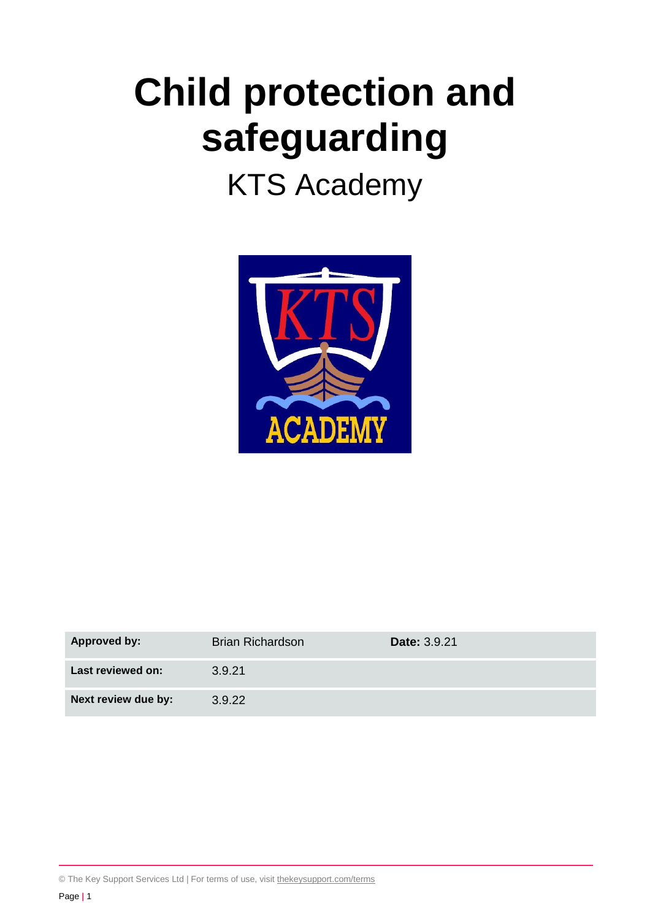# **Child protection and safeguarding**

## KTS Academy



| <b>Approved by:</b> | <b>Brian Richardson</b> | <b>Date: 3.9.21</b> |
|---------------------|-------------------------|---------------------|
| Last reviewed on:   | 3.9.21                  |                     |
| Next review due by: | 3.9.22                  |                     |

© The Key Support Services Ltd | For terms of use, visit [thekeysupport.com/terms](https://thekeysupport.com/terms-of-use)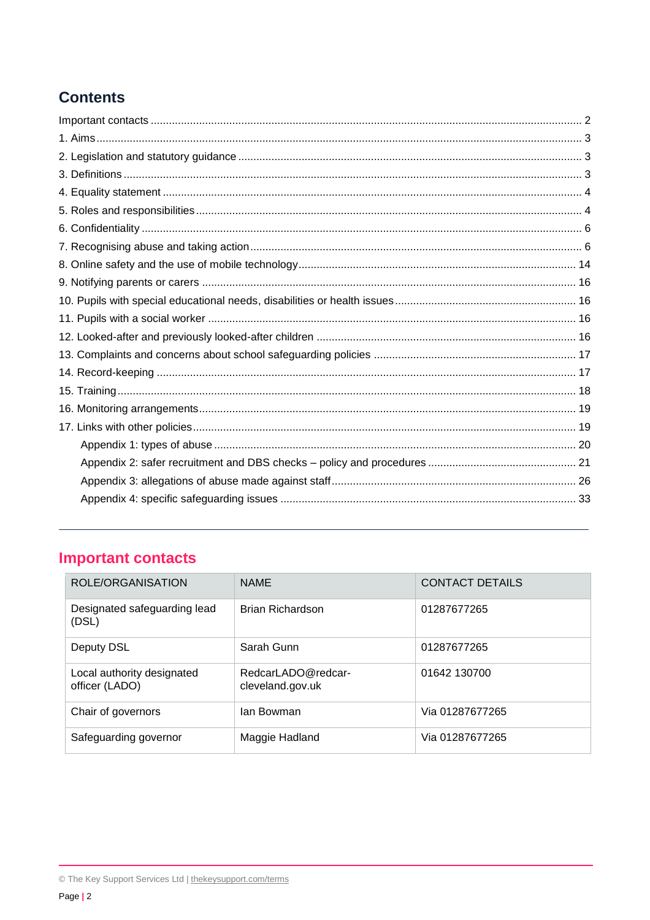## **Contents**

## <span id="page-1-0"></span>**Important contacts**

| ROLE/ORGANISATION                            | <b>NAME</b>                            | <b>CONTACT DETAILS</b> |
|----------------------------------------------|----------------------------------------|------------------------|
| Designated safeguarding lead<br>(DSL)        | Brian Richardson                       | 01287677265            |
| Deputy DSL                                   | Sarah Gunn                             | 01287677265            |
| Local authority designated<br>officer (LADO) | RedcarLADO@redcar-<br>cleveland.gov.uk | 01642 130700           |
| Chair of governors                           | lan Bowman                             | Via 01287677265        |
| Safeguarding governor                        | Maggie Hadland                         | Via 01287677265        |

<sup>©</sup> The Key Support Services Ltd | thekeysupport.com/terms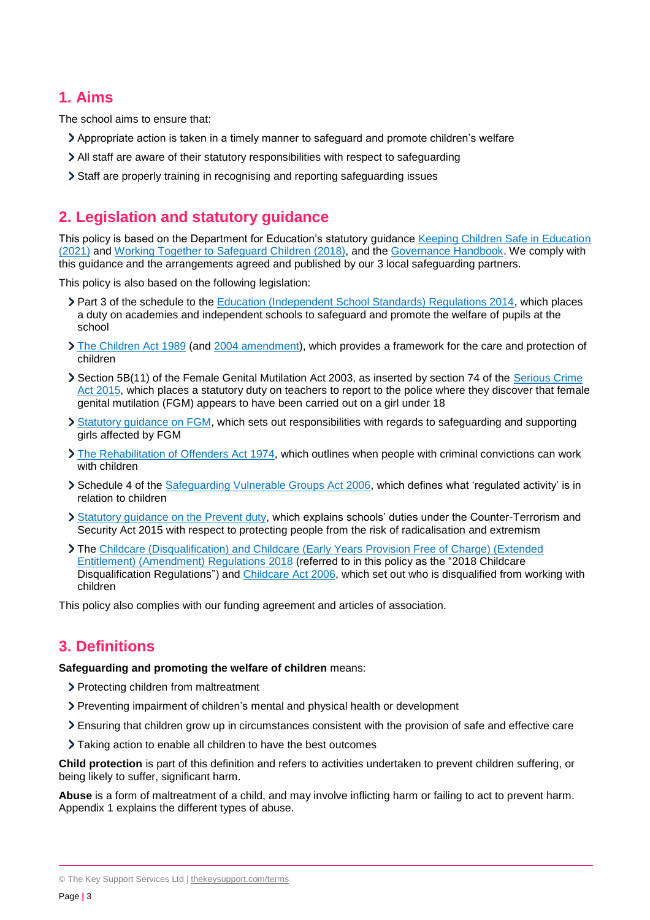## <span id="page-2-0"></span>**1. Aims**

The school aims to ensure that:

- Appropriate action is taken in a timely manner to safeguard and promote children's welfare
- All staff are aware of their statutory responsibilities with respect to safeguarding
- Staff are properly training in recognising and reporting safeguarding issues

## <span id="page-2-1"></span>**2. Legislation and statutory guidance**

This policy is based on the Department for Education's statutory guidance [Keeping Children Safe in Education](https://www.gov.uk/government/publications/keeping-children-safe-in-education--2)  [\(2021\)](https://www.gov.uk/government/publications/keeping-children-safe-in-education--2) and [Working Together to Safeguard Children \(2018\),](https://www.gov.uk/government/publications/working-together-to-safeguard-children--2) and the [Governance Handbook.](https://www.gov.uk/government/publications/governance-handbook) We comply with this guidance and the arrangements agreed and published by our 3 local safeguarding partners.

This policy is also based on the following legislation:

- Part 3 of the schedule to the [Education \(Independent School Standards\) Regulations 2014,](http://www.legislation.gov.uk/uksi/2014/3283/schedule/part/3/made) which places a duty on academies and independent schools to safeguard and promote the welfare of pupils at the school
- [The Children Act 1989](http://www.legislation.gov.uk/ukpga/1989/41) (and [2004 amendment\)](http://www.legislation.gov.uk/ukpga/2004/31/contents), which provides a framework for the care and protection of children
- Section 5B(11) of the Female Genital Mutilation Act 2003, as inserted by section 74 of the Serious Crime [Act 2015,](http://www.legislation.gov.uk/ukpga/2015/9/part/5/crossheading/female-genital-mutilation) which places a statutory duty on teachers to report to the police where they discover that female genital mutilation (FGM) appears to have been carried out on a girl under 18
- > [Statutory guidance on FGM,](https://www.gov.uk/government/publications/multi-agency-statutory-guidance-on-female-genital-mutilation) which sets out responsibilities with regards to safeguarding and supporting girls affected by FGM
- [The Rehabilitation of Offenders Act 1974,](http://www.legislation.gov.uk/ukpga/1974/53) which outlines when people with criminal convictions can work with children
- Schedule 4 of the [Safeguarding Vulnerable Groups Act 2006,](http://www.legislation.gov.uk/ukpga/2006/47/schedule/4) which defines what 'regulated activity' is in relation to children
- [Statutory guidance on the Prevent duty,](https://www.gov.uk/government/publications/prevent-duty-guidance) which explains schools' duties under the Counter-Terrorism and Security Act 2015 with respect to protecting people from the risk of radicalisation and extremism
- The [Childcare \(Disqualification\) and Childcare \(Early Years Provision Free of Charge\) \(Extended](http://www.legislation.gov.uk/uksi/2018/794/contents/made)  [Entitlement\) \(Amendment\) Regulations 2018](http://www.legislation.gov.uk/uksi/2018/794/contents/made) (referred to in this policy as the "2018 Childcare Disqualification Regulations") and [Childcare Act 2006,](http://www.legislation.gov.uk/ukpga/2006/21/contents) which set out who is disqualified from working with children

This policy also complies with our funding agreement and articles of association.

## <span id="page-2-2"></span>**3. Definitions**

#### **Safeguarding and promoting the welfare of children** means:

- > Protecting children from maltreatment
- Preventing impairment of children's mental and physical health or development
- Ensuring that children grow up in circumstances consistent with the provision of safe and effective care
- Taking action to enable all children to have the best outcomes

**Child protection** is part of this definition and refers to activities undertaken to prevent children suffering, or being likely to suffer, significant harm.

**Abuse** is a form of maltreatment of a child, and may involve inflicting harm or failing to act to prevent harm. Appendix 1 explains the different types of abuse.

<sup>©</sup> The Key Support Services Ltd | [thekeysupport.com/terms](https://thekeysupport.com/terms-of-use)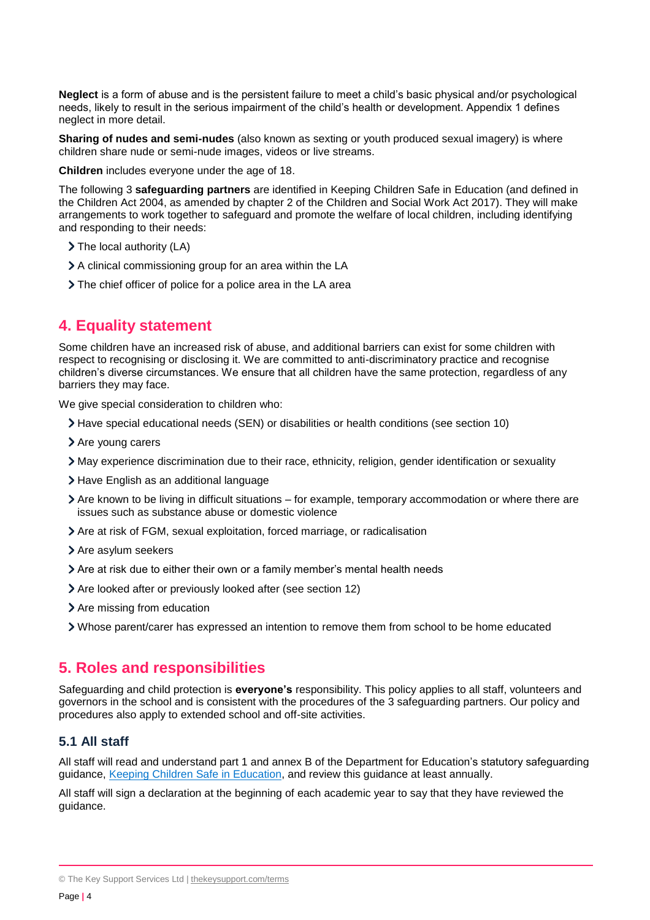**Neglect** is a form of abuse and is the persistent failure to meet a child's basic physical and/or psychological needs, likely to result in the serious impairment of the child's health or development. Appendix 1 defines neglect in more detail.

**Sharing of nudes and semi-nudes** (also known as sexting or youth produced sexual imagery) is where children share nude or semi-nude images, videos or live streams.

**Children** includes everyone under the age of 18.

The following 3 **safeguarding partners** are identified in Keeping Children Safe in Education (and defined in the Children Act 2004, as amended by chapter 2 of the Children and Social Work Act 2017). They will make arrangements to work together to safeguard and promote the welfare of local children, including identifying and responding to their needs:

- > The local authority (LA)
- > A clinical commissioning group for an area within the LA
- The chief officer of police for a police area in the LA area

## <span id="page-3-0"></span>**4. Equality statement**

Some children have an increased risk of abuse, and additional barriers can exist for some children with respect to recognising or disclosing it. We are committed to anti-discriminatory practice and recognise children's diverse circumstances. We ensure that all children have the same protection, regardless of any barriers they may face.

We give special consideration to children who:

- Have special educational needs (SEN) or disabilities or health conditions (see section 10)
- > Are young carers
- May experience discrimination due to their race, ethnicity, religion, gender identification or sexuality
- > Have English as an additional language
- Are known to be living in difficult situations for example, temporary accommodation or where there are issues such as substance abuse or domestic violence
- Are at risk of FGM, sexual exploitation, forced marriage, or radicalisation
- > Are asylum seekers
- Are at risk due to either their own or a family member's mental health needs
- Are looked after or previously looked after (see section 12)
- > Are missing from education
- Whose parent/carer has expressed an intention to remove them from school to be home educated

## <span id="page-3-1"></span>**5. Roles and responsibilities**

Safeguarding and child protection is **everyone's** responsibility. This policy applies to all staff, volunteers and governors in the school and is consistent with the procedures of the 3 safeguarding partners. Our policy and procedures also apply to extended school and off-site activities.

#### **5.1 All staff**

All staff will read and understand part 1 and annex B of the Department for Education's statutory safeguarding guidance, [Keeping Children Safe in Education,](https://www.gov.uk/government/publications/keeping-children-safe-in-education--2) and review this guidance at least annually.

All staff will sign a declaration at the beginning of each academic year to say that they have reviewed the guidance.

<sup>©</sup> The Key Support Services Ltd | [thekeysupport.com/terms](https://thekeysupport.com/terms-of-use)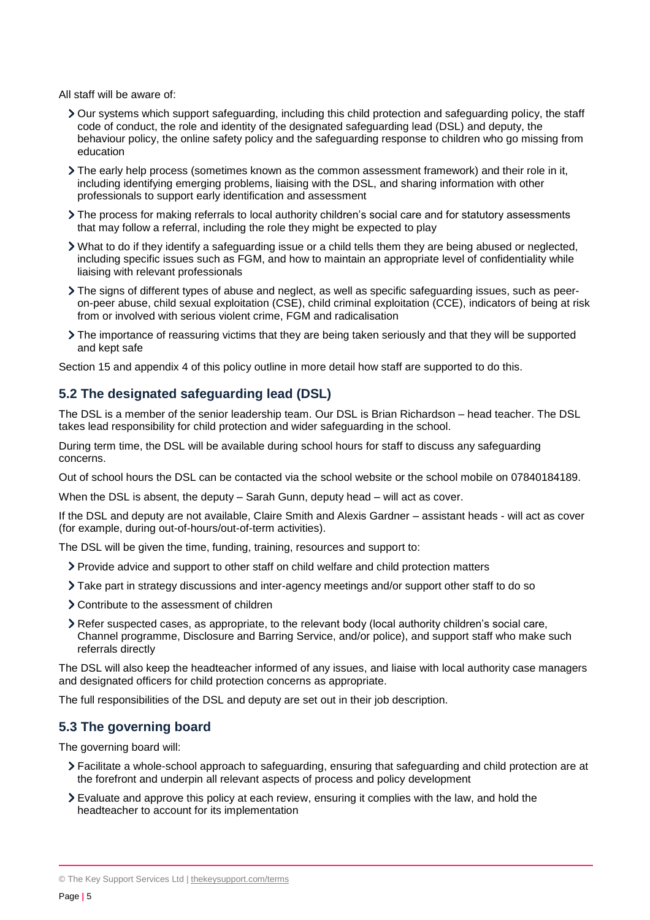All staff will be aware of:

- Our systems which support safeguarding, including this child protection and safeguarding policy, the staff code of conduct, the role and identity of the designated safeguarding lead (DSL) and deputy, the behaviour policy, the online safety policy and the safeguarding response to children who go missing from education
- The early help process (sometimes known as the common assessment framework) and their role in it, including identifying emerging problems, liaising with the DSL, and sharing information with other professionals to support early identification and assessment
- The process for making referrals to local authority children's social care and for statutory assessments that may follow a referral, including the role they might be expected to play
- What to do if they identify a safeguarding issue or a child tells them they are being abused or neglected, including specific issues such as FGM, and how to maintain an appropriate level of confidentiality while liaising with relevant professionals
- The signs of different types of abuse and neglect, as well as specific safeguarding issues, such as peeron-peer abuse, child sexual exploitation (CSE), child criminal exploitation (CCE), indicators of being at risk from or involved with serious violent crime, FGM and radicalisation
- The importance of reassuring victims that they are being taken seriously and that they will be supported and kept safe

Section 15 and appendix 4 of this policy outline in more detail how staff are supported to do this.

## **5.2 The designated safeguarding lead (DSL)**

The DSL is a member of the senior leadership team. Our DSL is Brian Richardson – head teacher. The DSL takes lead responsibility for child protection and wider safeguarding in the school.

During term time, the DSL will be available during school hours for staff to discuss any safeguarding concerns.

Out of school hours the DSL can be contacted via the school website or the school mobile on 07840184189.

When the DSL is absent, the deputy – Sarah Gunn, deputy head – will act as cover.

If the DSL and deputy are not available, Claire Smith and Alexis Gardner – assistant heads - will act as cover (for example, during out-of-hours/out-of-term activities).

The DSL will be given the time, funding, training, resources and support to:

- Provide advice and support to other staff on child welfare and child protection matters
- Take part in strategy discussions and inter-agency meetings and/or support other staff to do so
- Contribute to the assessment of children
- Refer suspected cases, as appropriate, to the relevant body (local authority children's social care, Channel programme, Disclosure and Barring Service, and/or police), and support staff who make such referrals directly

The DSL will also keep the headteacher informed of any issues, and liaise with local authority case managers and designated officers for child protection concerns as appropriate.

The full responsibilities of the DSL and deputy are set out in their job description.

## **5.3 The governing board**

The governing board will:

- Facilitate a whole-school approach to safeguarding, ensuring that safeguarding and child protection are at the forefront and underpin all relevant aspects of process and policy development
- Evaluate and approve this policy at each review, ensuring it complies with the law, and hold the headteacher to account for its implementation

<sup>©</sup> The Key Support Services Ltd | [thekeysupport.com/terms](https://thekeysupport.com/terms-of-use)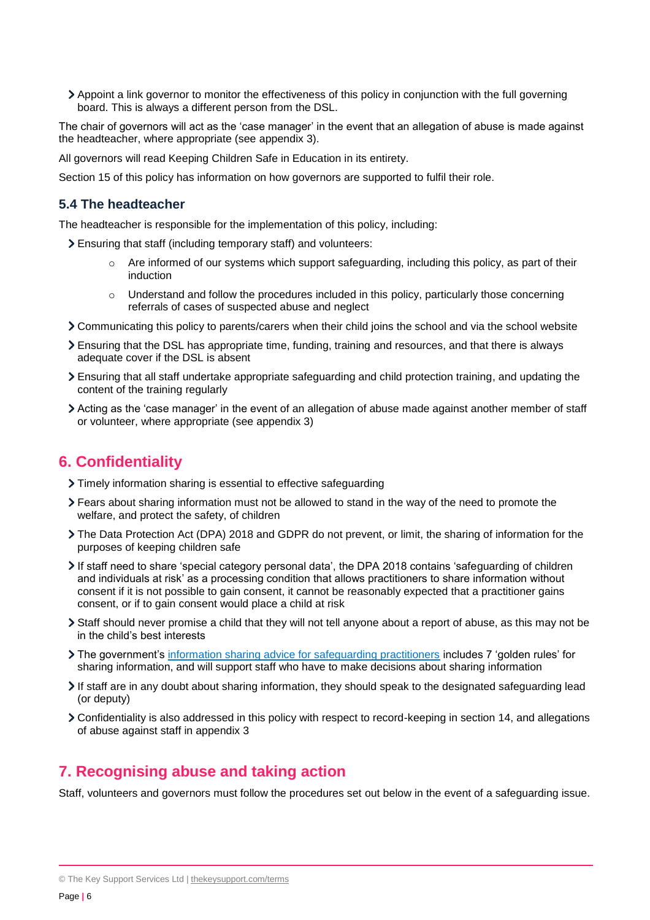Appoint a link governor to monitor the effectiveness of this policy in conjunction with the full governing board. This is always a different person from the DSL.

The chair of governors will act as the 'case manager' in the event that an allegation of abuse is made against the headteacher, where appropriate (see appendix 3).

All governors will read Keeping Children Safe in Education in its entirety.

Section 15 of this policy has information on how governors are supported to fulfil their role.

#### **5.4 The headteacher**

The headteacher is responsible for the implementation of this policy, including:

- Ensuring that staff (including temporary staff) and volunteers:
	- $\circ$  Are informed of our systems which support safeguarding, including this policy, as part of their induction
	- $\circ$  Understand and follow the procedures included in this policy, particularly those concerning referrals of cases of suspected abuse and neglect
- Communicating this policy to parents/carers when their child joins the school and via the school website
- Ensuring that the DSL has appropriate time, funding, training and resources, and that there is always adequate cover if the DSL is absent
- Ensuring that all staff undertake appropriate safeguarding and child protection training, and updating the content of the training regularly
- Acting as the 'case manager' in the event of an allegation of abuse made against another member of staff or volunteer, where appropriate (see appendix 3)

## <span id="page-5-0"></span>**6. Confidentiality**

- Timely information sharing is essential to effective safeguarding
- Fears about sharing information must not be allowed to stand in the way of the need to promote the welfare, and protect the safety, of children
- The Data Protection Act (DPA) 2018 and GDPR do not prevent, or limit, the sharing of information for the purposes of keeping children safe
- If staff need to share 'special category personal data', the DPA 2018 contains 'safeguarding of children and individuals at risk' as a processing condition that allows practitioners to share information without consent if it is not possible to gain consent, it cannot be reasonably expected that a practitioner gains consent, or if to gain consent would place a child at risk
- Staff should never promise a child that they will not tell anyone about a report of abuse, as this may not be in the child's best interests
- The government's [information sharing advice for safeguarding practitioners](https://www.gov.uk/government/publications/safeguarding-practitioners-information-sharing-advice) includes 7 'golden rules' for sharing information, and will support staff who have to make decisions about sharing information
- If staff are in any doubt about sharing information, they should speak to the designated safeguarding lead (or deputy)
- Confidentiality is also addressed in this policy with respect to record-keeping in section 14, and allegations of abuse against staff in appendix 3

## <span id="page-5-1"></span>**7. Recognising abuse and taking action**

Staff, volunteers and governors must follow the procedures set out below in the event of a safeguarding issue.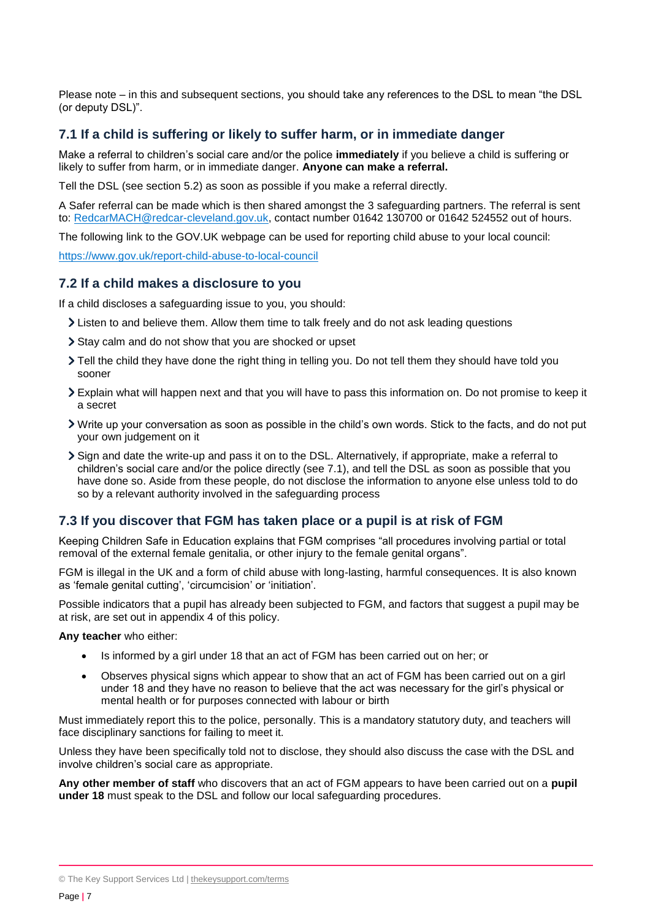Please note – in this and subsequent sections, you should take any references to the DSL to mean "the DSL (or deputy DSL)".

#### **7.1 If a child is suffering or likely to suffer harm, or in immediate danger**

Make a referral to children's social care and/or the police **immediately** if you believe a child is suffering or likely to suffer from harm, or in immediate danger. **Anyone can make a referral.**

Tell the DSL (see section 5.2) as soon as possible if you make a referral directly.

A Safer referral can be made which is then shared amongst the 3 safeguarding partners. The referral is sent to: [RedcarMACH@redcar-cleveland.gov.uk,](mailto:RedcarMACH@redcar-cleveland.gov.uk) contact number 01642 130700 or 01642 524552 out of hours.

The following link to the GOV.UK webpage can be used for reporting child abuse to your local council:

<https://www.gov.uk/report-child-abuse-to-local-council>

#### **7.2 If a child makes a disclosure to you**

If a child discloses a safeguarding issue to you, you should:

- Listen to and believe them. Allow them time to talk freely and do not ask leading questions
- Stay calm and do not show that you are shocked or upset
- Tell the child they have done the right thing in telling you. Do not tell them they should have told you sooner
- Explain what will happen next and that you will have to pass this information on. Do not promise to keep it a secret
- Write up your conversation as soon as possible in the child's own words. Stick to the facts, and do not put your own judgement on it
- Sign and date the write-up and pass it on to the DSL. Alternatively, if appropriate, make a referral to children's social care and/or the police directly (see 7.1), and tell the DSL as soon as possible that you have done so. Aside from these people, do not disclose the information to anyone else unless told to do so by a relevant authority involved in the safeguarding process

#### **7.3 If you discover that FGM has taken place or a pupil is at risk of FGM**

Keeping Children Safe in Education explains that FGM comprises "all procedures involving partial or total removal of the external female genitalia, or other injury to the female genital organs".

FGM is illegal in the UK and a form of child abuse with long-lasting, harmful consequences. It is also known as 'female genital cutting', 'circumcision' or 'initiation'.

Possible indicators that a pupil has already been subjected to FGM, and factors that suggest a pupil may be at risk, are set out in appendix 4 of this policy.

**Any teacher** who either:

- Is informed by a girl under 18 that an act of FGM has been carried out on her; or
- Observes physical signs which appear to show that an act of FGM has been carried out on a girl under 18 and they have no reason to believe that the act was necessary for the girl's physical or mental health or for purposes connected with labour or birth

Must immediately report this to the police, personally. This is a mandatory statutory duty, and teachers will face disciplinary sanctions for failing to meet it.

Unless they have been specifically told not to disclose, they should also discuss the case with the DSL and involve children's social care as appropriate.

**Any other member of staff** who discovers that an act of FGM appears to have been carried out on a **pupil under 18** must speak to the DSL and follow our local safeguarding procedures.

<sup>©</sup> The Key Support Services Ltd | [thekeysupport.com/terms](https://thekeysupport.com/terms-of-use)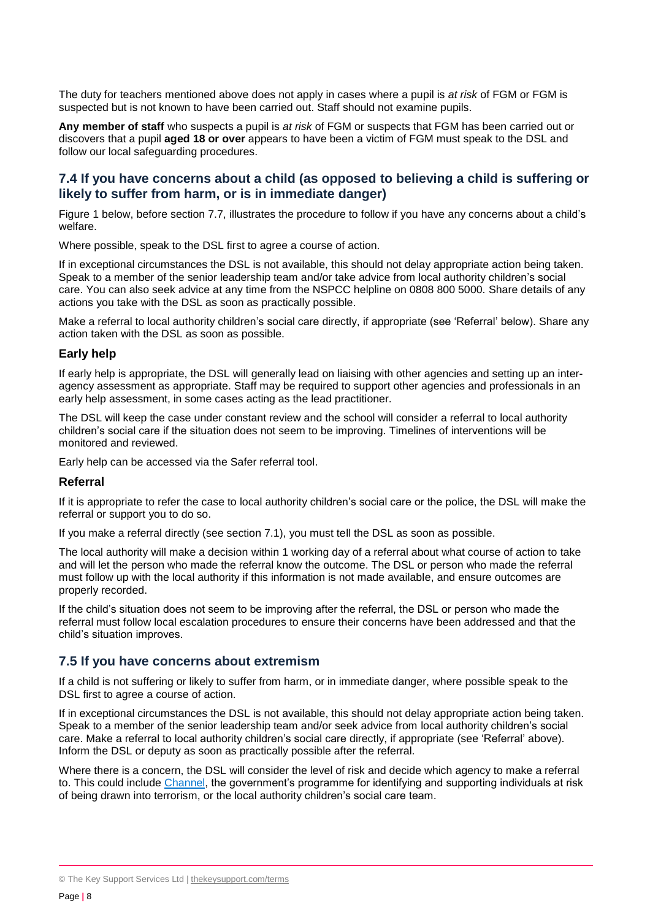The duty for teachers mentioned above does not apply in cases where a pupil is *at risk* of FGM or FGM is suspected but is not known to have been carried out. Staff should not examine pupils.

**Any member of staff** who suspects a pupil is *at risk* of FGM or suspects that FGM has been carried out or discovers that a pupil **aged 18 or over** appears to have been a victim of FGM must speak to the DSL and follow our local safeguarding procedures.

#### **7.4 If you have concerns about a child (as opposed to believing a child is suffering or likely to suffer from harm, or is in immediate danger)**

Figure 1 below, before section 7.7, illustrates the procedure to follow if you have any concerns about a child's welfare.

Where possible, speak to the DSL first to agree a course of action.

If in exceptional circumstances the DSL is not available, this should not delay appropriate action being taken. Speak to a member of the senior leadership team and/or take advice from local authority children's social care. You can also seek advice at any time from the NSPCC helpline on 0808 800 5000. Share details of any actions you take with the DSL as soon as practically possible.

Make a referral to local authority children's social care directly, if appropriate (see 'Referral' below). Share any action taken with the DSL as soon as possible.

#### **Early help**

If early help is appropriate, the DSL will generally lead on liaising with other agencies and setting up an interagency assessment as appropriate. Staff may be required to support other agencies and professionals in an early help assessment, in some cases acting as the lead practitioner.

The DSL will keep the case under constant review and the school will consider a referral to local authority children's social care if the situation does not seem to be improving. Timelines of interventions will be monitored and reviewed.

Early help can be accessed via the Safer referral tool.

#### **Referral**

If it is appropriate to refer the case to local authority children's social care or the police, the DSL will make the referral or support you to do so.

If you make a referral directly (see section 7.1), you must tell the DSL as soon as possible.

The local authority will make a decision within 1 working day of a referral about what course of action to take and will let the person who made the referral know the outcome. The DSL or person who made the referral must follow up with the local authority if this information is not made available, and ensure outcomes are properly recorded.

If the child's situation does not seem to be improving after the referral, the DSL or person who made the referral must follow local escalation procedures to ensure their concerns have been addressed and that the child's situation improves.

#### **7.5 If you have concerns about extremism**

If a child is not suffering or likely to suffer from harm, or in immediate danger, where possible speak to the DSL first to agree a course of action.

If in exceptional circumstances the DSL is not available, this should not delay appropriate action being taken. Speak to a member of the senior leadership team and/or seek advice from local authority children's social care. Make a referral to local authority children's social care directly, if appropriate (see 'Referral' above). Inform the DSL or deputy as soon as practically possible after the referral.

Where there is a concern, the DSL will consider the level of risk and decide which agency to make a referral to. This could include [Channel,](https://www.gov.uk/government/publications/channel-guidance) the government's programme for identifying and supporting individuals at risk of being drawn into terrorism, or the local authority children's social care team.

<sup>©</sup> The Key Support Services Ltd | [thekeysupport.com/terms](https://thekeysupport.com/terms-of-use)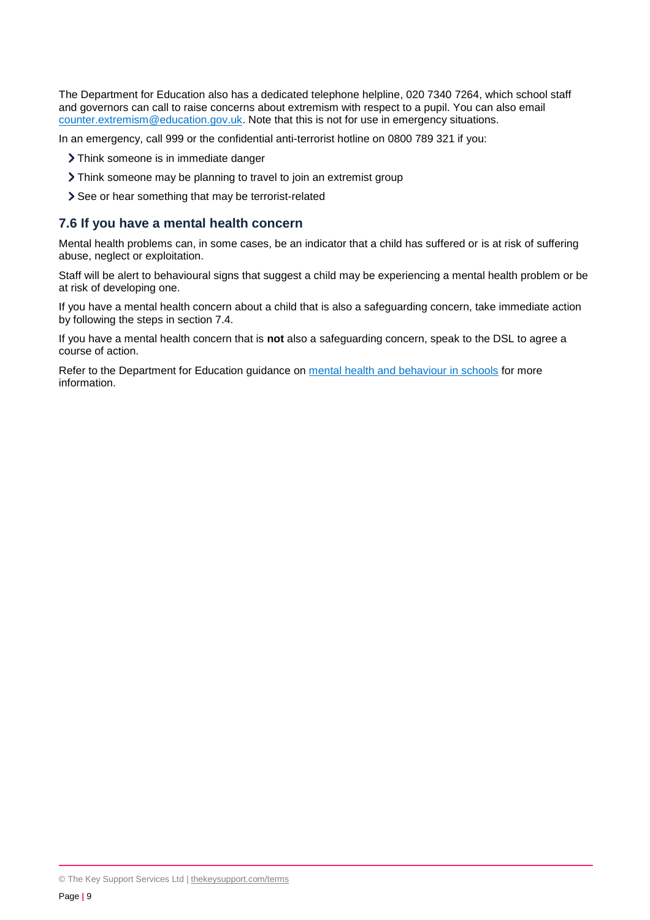The Department for Education also has a dedicated telephone helpline, 020 7340 7264, which school staff and governors can call to raise concerns about extremism with respect to a pupil. You can also email [counter.extremism@education.gov.uk.](mailto:counter.extremism@education.gov.uk) Note that this is not for use in emergency situations.

In an emergency, call 999 or the confidential anti-terrorist hotline on 0800 789 321 if you:

- > Think someone is in immediate danger
- Think someone may be planning to travel to join an extremist group
- > See or hear something that may be terrorist-related

#### **7.6 If you have a mental health concern**

Mental health problems can, in some cases, be an indicator that a child has suffered or is at risk of suffering abuse, neglect or exploitation.

Staff will be alert to behavioural signs that suggest a child may be experiencing a mental health problem or be at risk of developing one.

If you have a mental health concern about a child that is also a safeguarding concern, take immediate action by following the steps in section 7.4.

If you have a mental health concern that is **not** also a safeguarding concern, speak to the DSL to agree a course of action.

Refer to the Department for Education guidance on [mental health and behaviour in schools](https://www.gov.uk/government/publications/mental-health-and-behaviour-in-schools--2) for more information.

<sup>©</sup> The Key Support Services Ltd | [thekeysupport.com/terms](https://thekeysupport.com/terms-of-use)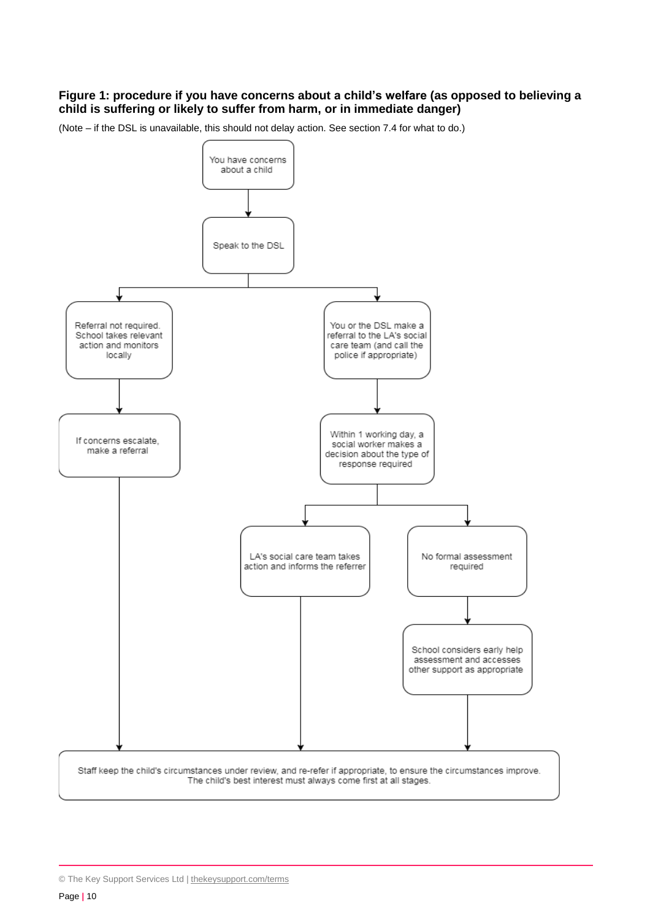#### **Figure 1: procedure if you have concerns about a child's welfare (as opposed to believing a child is suffering or likely to suffer from harm, or in immediate danger)**

(Note – if the DSL is unavailable, this should not delay action. See section 7.4 for what to do.)



<sup>©</sup> The Key Support Services Ltd | [thekeysupport.com/terms](https://thekeysupport.com/terms-of-use)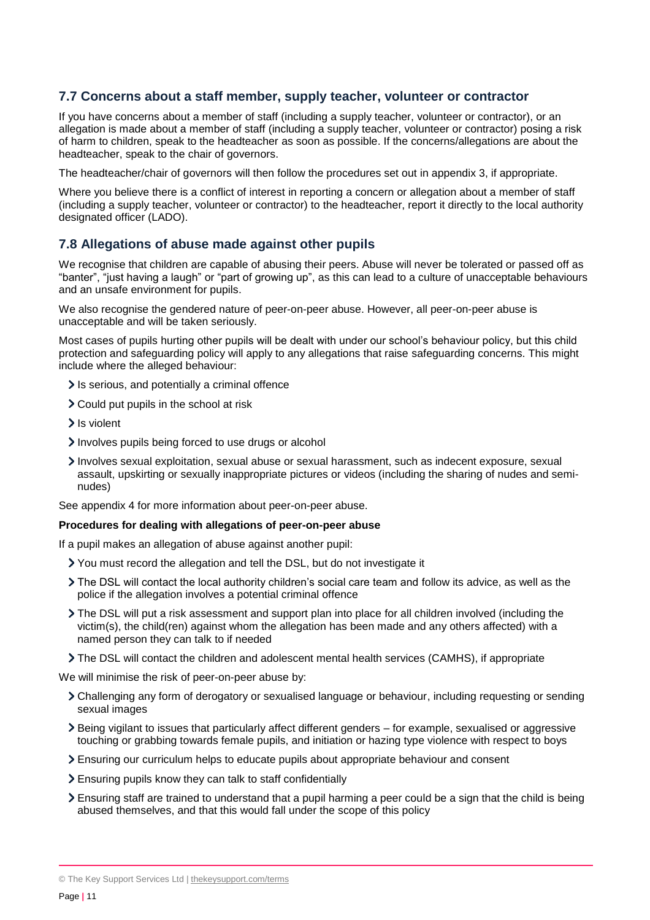#### **7.7 Concerns about a staff member, supply teacher, volunteer or contractor**

If you have concerns about a member of staff (including a supply teacher, volunteer or contractor), or an allegation is made about a member of staff (including a supply teacher, volunteer or contractor) posing a risk of harm to children, speak to the headteacher as soon as possible. If the concerns/allegations are about the headteacher, speak to the chair of governors.

The headteacher/chair of governors will then follow the procedures set out in appendix 3, if appropriate.

Where you believe there is a conflict of interest in reporting a concern or allegation about a member of staff (including a supply teacher, volunteer or contractor) to the headteacher, report it directly to the local authority designated officer (LADO).

#### **7.8 Allegations of abuse made against other pupils**

We recognise that children are capable of abusing their peers. Abuse will never be tolerated or passed off as "banter", "just having a laugh" or "part of growing up", as this can lead to a culture of unacceptable behaviours and an unsafe environment for pupils.

We also recognise the gendered nature of peer-on-peer abuse. However, all peer-on-peer abuse is unacceptable and will be taken seriously.

Most cases of pupils hurting other pupils will be dealt with under our school's behaviour policy, but this child protection and safeguarding policy will apply to any allegations that raise safeguarding concerns. This might include where the alleged behaviour:

- It is serious, and potentially a criminal offence
- Could put pupils in the school at risk
- > Is violent
- Involves pupils being forced to use drugs or alcohol
- Involves sexual exploitation, sexual abuse or sexual harassment, such as indecent exposure, sexual assault, upskirting or sexually inappropriate pictures or videos (including the sharing of nudes and seminudes)

See appendix 4 for more information about peer-on-peer abuse.

#### **Procedures for dealing with allegations of peer-on-peer abuse**

If a pupil makes an allegation of abuse against another pupil:

- You must record the allegation and tell the DSL, but do not investigate it
- The DSL will contact the local authority children's social care team and follow its advice, as well as the police if the allegation involves a potential criminal offence
- The DSL will put a risk assessment and support plan into place for all children involved (including the victim(s), the child(ren) against whom the allegation has been made and any others affected) with a named person they can talk to if needed
- The DSL will contact the children and adolescent mental health services (CAMHS), if appropriate

We will minimise the risk of peer-on-peer abuse by:

- Challenging any form of derogatory or sexualised language or behaviour, including requesting or sending sexual images
- Being vigilant to issues that particularly affect different genders for example, sexualised or aggressive touching or grabbing towards female pupils, and initiation or hazing type violence with respect to boys
- Ensuring our curriculum helps to educate pupils about appropriate behaviour and consent
- Ensuring pupils know they can talk to staff confidentially
- Ensuring staff are trained to understand that a pupil harming a peer could be a sign that the child is being abused themselves, and that this would fall under the scope of this policy

© The Key Support Services Ltd | [thekeysupport.com/terms](https://thekeysupport.com/terms-of-use)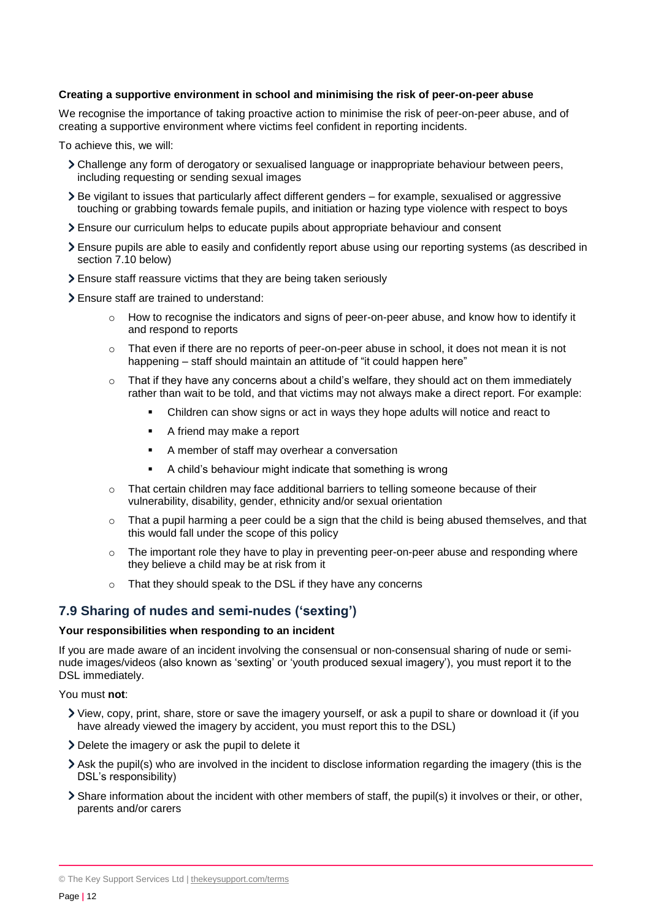#### **Creating a supportive environment in school and minimising the risk of peer-on-peer abuse**

We recognise the importance of taking proactive action to minimise the risk of peer-on-peer abuse, and of creating a supportive environment where victims feel confident in reporting incidents.

To achieve this, we will:

- Challenge any form of derogatory or sexualised language or inappropriate behaviour between peers, including requesting or sending sexual images
- Be vigilant to issues that particularly affect different genders for example, sexualised or aggressive touching or grabbing towards female pupils, and initiation or hazing type violence with respect to boys
- Ensure our curriculum helps to educate pupils about appropriate behaviour and consent
- Ensure pupils are able to easily and confidently report abuse using our reporting systems (as described in section 7.10 below)
- Ensure staff reassure victims that they are being taken seriously
- Ensure staff are trained to understand:
	- o How to recognise the indicators and signs of peer-on-peer abuse, and know how to identify it and respond to reports
	- $\circ$  That even if there are no reports of peer-on-peer abuse in school, it does not mean it is not happening – staff should maintain an attitude of "it could happen here"
	- $\circ$  That if they have any concerns about a child's welfare, they should act on them immediately rather than wait to be told, and that victims may not always make a direct report. For example:
		- Children can show signs or act in ways they hope adults will notice and react to
		- A friend may make a report
		- A member of staff may overhear a conversation
		- A child's behaviour might indicate that something is wrong
	- o That certain children may face additional barriers to telling someone because of their vulnerability, disability, gender, ethnicity and/or sexual orientation
	- $\circ$  That a pupil harming a peer could be a sign that the child is being abused themselves, and that this would fall under the scope of this policy
	- $\circ$  The important role they have to play in preventing peer-on-peer abuse and responding where they believe a child may be at risk from it
	- o That they should speak to the DSL if they have any concerns

#### **7.9 Sharing of nudes and semi-nudes ('sexting')**

#### **Your responsibilities when responding to an incident**

If you are made aware of an incident involving the consensual or non-consensual sharing of nude or seminude images/videos (also known as 'sexting' or 'youth produced sexual imagery'), you must report it to the DSL immediately.

You must **not**:

- View, copy, print, share, store or save the imagery yourself, or ask a pupil to share or download it (if you have already viewed the imagery by accident, you must report this to the DSL)
- Delete the imagery or ask the pupil to delete it
- Ask the pupil(s) who are involved in the incident to disclose information regarding the imagery (this is the DSL's responsibility)
- Share information about the incident with other members of staff, the pupil(s) it involves or their, or other, parents and/or carers

© The Key Support Services Ltd | [thekeysupport.com/terms](https://thekeysupport.com/terms-of-use)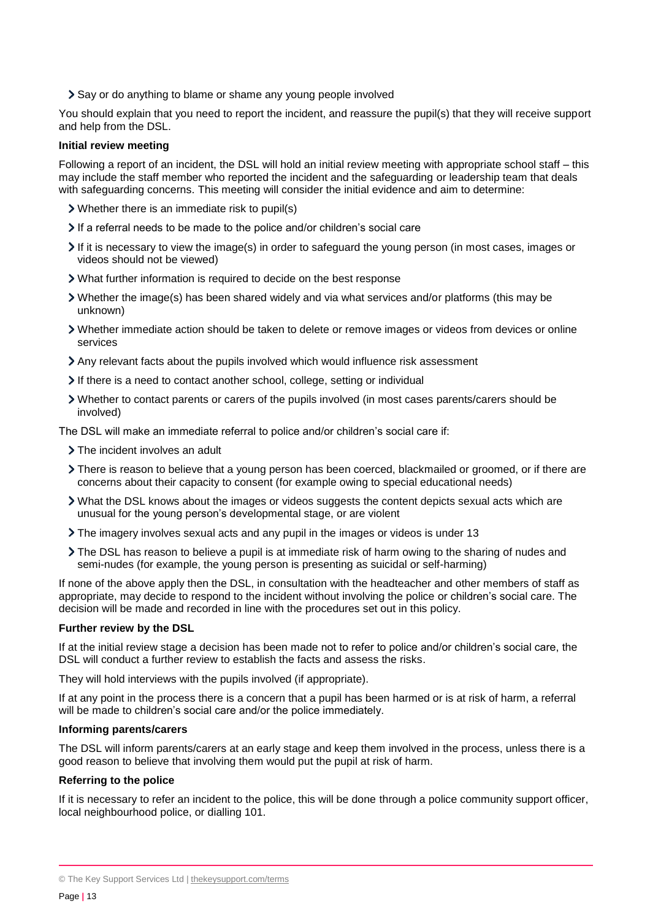Say or do anything to blame or shame any young people involved

You should explain that you need to report the incident, and reassure the pupil(s) that they will receive support and help from the DSL.

#### **Initial review meeting**

Following a report of an incident, the DSL will hold an initial review meeting with appropriate school staff – this may include the staff member who reported the incident and the safeguarding or leadership team that deals with safeguarding concerns. This meeting will consider the initial evidence and aim to determine:

- Whether there is an immediate risk to pupil(s)
- If a referral needs to be made to the police and/or children's social care
- $\geq$  If it is necessary to view the image(s) in order to safeguard the young person (in most cases, images or videos should not be viewed)
- What further information is required to decide on the best response
- Whether the image(s) has been shared widely and via what services and/or platforms (this may be unknown)
- Whether immediate action should be taken to delete or remove images or videos from devices or online services
- Any relevant facts about the pupils involved which would influence risk assessment
- If there is a need to contact another school, college, setting or individual
- Whether to contact parents or carers of the pupils involved (in most cases parents/carers should be involved)

The DSL will make an immediate referral to police and/or children's social care if:

- > The incident involves an adult
- There is reason to believe that a young person has been coerced, blackmailed or groomed, or if there are concerns about their capacity to consent (for example owing to special educational needs)
- What the DSL knows about the images or videos suggests the content depicts sexual acts which are unusual for the young person's developmental stage, or are violent
- The imagery involves sexual acts and any pupil in the images or videos is under 13
- The DSL has reason to believe a pupil is at immediate risk of harm owing to the sharing of nudes and semi-nudes (for example, the young person is presenting as suicidal or self-harming)

If none of the above apply then the DSL, in consultation with the headteacher and other members of staff as appropriate, may decide to respond to the incident without involving the police or children's social care. The decision will be made and recorded in line with the procedures set out in this policy.

#### **Further review by the DSL**

If at the initial review stage a decision has been made not to refer to police and/or children's social care, the DSL will conduct a further review to establish the facts and assess the risks.

They will hold interviews with the pupils involved (if appropriate).

If at any point in the process there is a concern that a pupil has been harmed or is at risk of harm, a referral will be made to children's social care and/or the police immediately.

#### **Informing parents/carers**

The DSL will inform parents/carers at an early stage and keep them involved in the process, unless there is a good reason to believe that involving them would put the pupil at risk of harm.

#### **Referring to the police**

If it is necessary to refer an incident to the police, this will be done through a police community support officer, local neighbourhood police, or dialling 101.

<sup>©</sup> The Key Support Services Ltd | [thekeysupport.com/terms](https://thekeysupport.com/terms-of-use)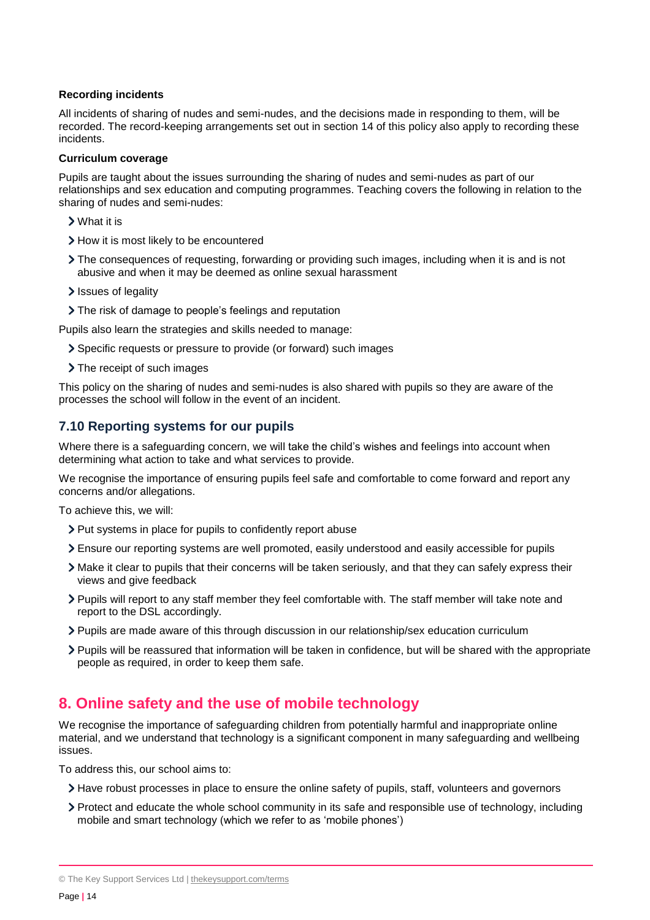#### **Recording incidents**

All incidents of sharing of nudes and semi-nudes, and the decisions made in responding to them, will be recorded. The record-keeping arrangements set out in section 14 of this policy also apply to recording these incidents.

#### **Curriculum coverage**

Pupils are taught about the issues surrounding the sharing of nudes and semi-nudes as part of our relationships and sex education and computing programmes. Teaching covers the following in relation to the sharing of nudes and semi-nudes:

- What it is
- > How it is most likely to be encountered
- The consequences of requesting, forwarding or providing such images, including when it is and is not abusive and when it may be deemed as online sexual harassment
- Issues of legality
- The risk of damage to people's feelings and reputation

Pupils also learn the strategies and skills needed to manage:

- Specific requests or pressure to provide (or forward) such images
- > The receipt of such images

This policy on the sharing of nudes and semi-nudes is also shared with pupils so they are aware of the processes the school will follow in the event of an incident.

## **7.10 Reporting systems for our pupils**

Where there is a safeguarding concern, we will take the child's wishes and feelings into account when determining what action to take and what services to provide.

We recognise the importance of ensuring pupils feel safe and comfortable to come forward and report any concerns and/or allegations.

To achieve this, we will:

- > Put systems in place for pupils to confidently report abuse
- Ensure our reporting systems are well promoted, easily understood and easily accessible for pupils
- Make it clear to pupils that their concerns will be taken seriously, and that they can safely express their views and give feedback
- Pupils will report to any staff member they feel comfortable with. The staff member will take note and report to the DSL accordingly.
- Pupils are made aware of this through discussion in our relationship/sex education curriculum
- Pupils will be reassured that information will be taken in confidence, but will be shared with the appropriate people as required, in order to keep them safe.

## <span id="page-13-0"></span>**8. Online safety and the use of mobile technology**

We recognise the importance of safeguarding children from potentially harmful and inappropriate online material, and we understand that technology is a significant component in many safeguarding and wellbeing issues.

To address this, our school aims to:

- Have robust processes in place to ensure the online safety of pupils, staff, volunteers and governors
- Protect and educate the whole school community in its safe and responsible use of technology, including mobile and smart technology (which we refer to as 'mobile phones')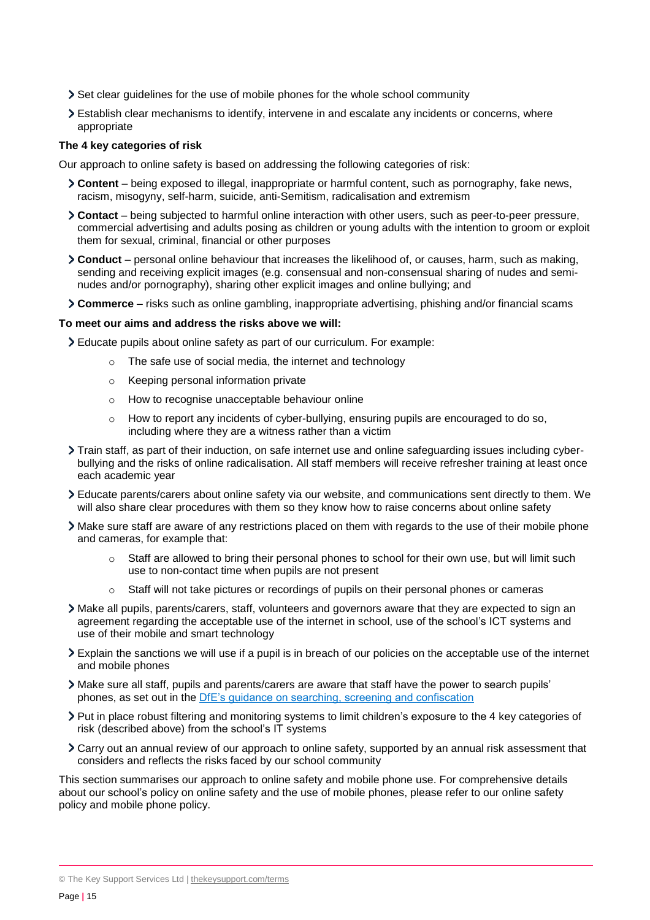- $\geq$  Set clear guidelines for the use of mobile phones for the whole school community
- Establish clear mechanisms to identify, intervene in and escalate any incidents or concerns, where appropriate

#### **The 4 key categories of risk**

Our approach to online safety is based on addressing the following categories of risk:

- **Content** being exposed to illegal, inappropriate or harmful content, such as pornography, fake news, racism, misogyny, self-harm, suicide, anti-Semitism, radicalisation and extremism
- **Contact** being subjected to harmful online interaction with other users, such as peer-to-peer pressure, commercial advertising and adults posing as children or young adults with the intention to groom or exploit them for sexual, criminal, financial or other purposes
- **Conduct** personal online behaviour that increases the likelihood of, or causes, harm, such as making, sending and receiving explicit images (e.g. consensual and non-consensual sharing of nudes and seminudes and/or pornography), sharing other explicit images and online bullying; and
- **Commerce** risks such as online gambling, inappropriate advertising, phishing and/or financial scams

#### **To meet our aims and address the risks above we will:**

Educate pupils about online safety as part of our curriculum. For example:

- o The safe use of social media, the internet and technology
- o Keeping personal information private
- o How to recognise unacceptable behaviour online
- o How to report any incidents of cyber-bullying, ensuring pupils are encouraged to do so, including where they are a witness rather than a victim
- Train staff, as part of their induction, on safe internet use and online safeguarding issues including cyberbullying and the risks of online radicalisation. All staff members will receive refresher training at least once each academic year
- Educate parents/carers about online safety via our website, and communications sent directly to them. We will also share clear procedures with them so they know how to raise concerns about online safety
- Make sure staff are aware of any restrictions placed on them with regards to the use of their mobile phone and cameras, for example that:
	- $\circ$  Staff are allowed to bring their personal phones to school for their own use, but will limit such use to non-contact time when pupils are not present
	- $\circ$  Staff will not take pictures or recordings of pupils on their personal phones or cameras
- Make all pupils, parents/carers, staff, volunteers and governors aware that they are expected to sign an agreement regarding the acceptable use of the internet in school, use of the school's ICT systems and use of their mobile and smart technology
- Explain the sanctions we will use if a pupil is in breach of our policies on the acceptable use of the internet and mobile phones
- Make sure all staff, pupils and parents/carers are aware that staff have the power to search pupils' phones, as set out in the [DfE's guidance on searching, screening and confiscation](https://www.gov.uk/government/publications/searching-screening-and-confiscation)
- Put in place robust filtering and monitoring systems to limit children's exposure to the 4 key categories of risk (described above) from the school's IT systems
- Carry out an annual review of our approach to online safety, supported by an annual risk assessment that considers and reflects the risks faced by our school community

This section summarises our approach to online safety and mobile phone use. For comprehensive details about our school's policy on online safety and the use of mobile phones, please refer to our online safety policy and mobile phone policy.

<sup>©</sup> The Key Support Services Ltd | [thekeysupport.com/terms](https://thekeysupport.com/terms-of-use)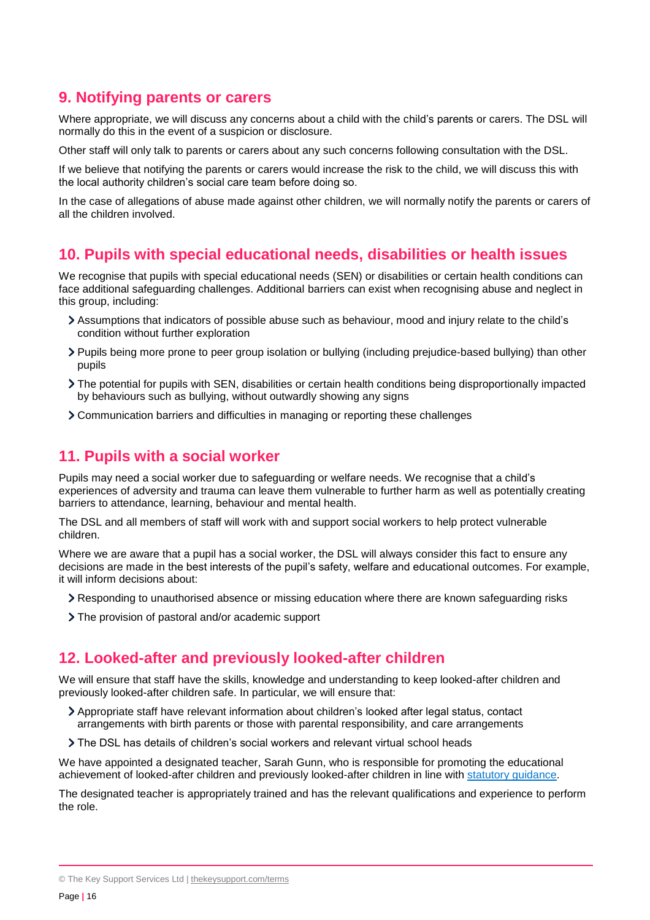## <span id="page-15-0"></span>**9. Notifying parents or carers**

Where appropriate, we will discuss any concerns about a child with the child's parents or carers. The DSL will normally do this in the event of a suspicion or disclosure.

Other staff will only talk to parents or carers about any such concerns following consultation with the DSL.

If we believe that notifying the parents or carers would increase the risk to the child, we will discuss this with the local authority children's social care team before doing so.

In the case of allegations of abuse made against other children, we will normally notify the parents or carers of all the children involved.

## <span id="page-15-1"></span>**10. Pupils with special educational needs, disabilities or health issues**

We recognise that pupils with special educational needs (SEN) or disabilities or certain health conditions can face additional safeguarding challenges. Additional barriers can exist when recognising abuse and neglect in this group, including:

- Assumptions that indicators of possible abuse such as behaviour, mood and injury relate to the child's condition without further exploration
- Pupils being more prone to peer group isolation or bullying (including prejudice-based bullying) than other pupils
- The potential for pupils with SEN, disabilities or certain health conditions being disproportionally impacted by behaviours such as bullying, without outwardly showing any signs
- Communication barriers and difficulties in managing or reporting these challenges

## <span id="page-15-2"></span>**11. Pupils with a social worker**

Pupils may need a social worker due to safeguarding or welfare needs. We recognise that a child's experiences of adversity and trauma can leave them vulnerable to further harm as well as potentially creating barriers to attendance, learning, behaviour and mental health.

The DSL and all members of staff will work with and support social workers to help protect vulnerable children.

Where we are aware that a pupil has a social worker, the DSL will always consider this fact to ensure any decisions are made in the best interests of the pupil's safety, welfare and educational outcomes. For example, it will inform decisions about:

- Responding to unauthorised absence or missing education where there are known safeguarding risks
- The provision of pastoral and/or academic support

## <span id="page-15-3"></span>**12. Looked-after and previously looked-after children**

We will ensure that staff have the skills, knowledge and understanding to keep looked-after children and previously looked-after children safe. In particular, we will ensure that:

- Appropriate staff have relevant information about children's looked after legal status, contact arrangements with birth parents or those with parental responsibility, and care arrangements
- The DSL has details of children's social workers and relevant virtual school heads

We have appointed a designated teacher, Sarah Gunn, who is responsible for promoting the educational achievement of looked-after children and previously looked-after children in line with [statutory guidance.](https://www.gov.uk/government/publications/designated-teacher-for-looked-after-children)

The designated teacher is appropriately trained and has the relevant qualifications and experience to perform the role.

<sup>©</sup> The Key Support Services Ltd | [thekeysupport.com/terms](https://thekeysupport.com/terms-of-use)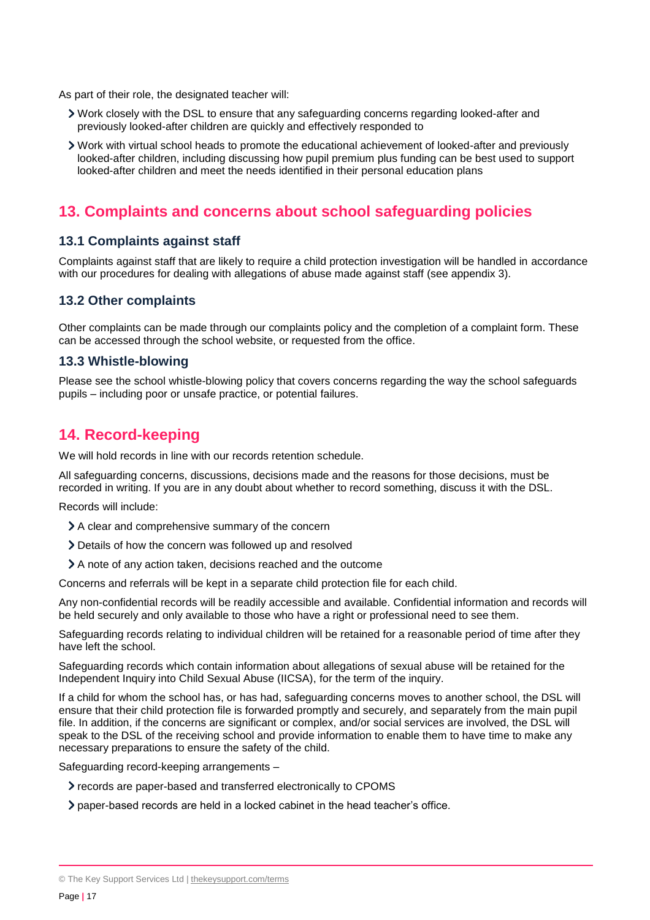As part of their role, the designated teacher will:

- Work closely with the DSL to ensure that any safeguarding concerns regarding looked-after and previously looked-after children are quickly and effectively responded to
- Work with virtual school heads to promote the educational achievement of looked-after and previously looked-after children, including discussing how pupil premium plus funding can be best used to support looked-after children and meet the needs identified in their personal education plans

## <span id="page-16-0"></span>**13. Complaints and concerns about school safeguarding policies**

#### **13.1 Complaints against staff**

Complaints against staff that are likely to require a child protection investigation will be handled in accordance with our procedures for dealing with allegations of abuse made against staff (see appendix 3).

#### **13.2 Other complaints**

Other complaints can be made through our complaints policy and the completion of a complaint form. These can be accessed through the school website, or requested from the office.

#### **13.3 Whistle-blowing**

Please see the school whistle-blowing policy that covers concerns regarding the way the school safeguards pupils – including poor or unsafe practice, or potential failures.

## <span id="page-16-1"></span>**14. Record-keeping**

We will hold records in line with our records retention schedule.

All safeguarding concerns, discussions, decisions made and the reasons for those decisions, must be recorded in writing. If you are in any doubt about whether to record something, discuss it with the DSL.

Records will include:

- A clear and comprehensive summary of the concern
- Details of how the concern was followed up and resolved
- A note of any action taken, decisions reached and the outcome

Concerns and referrals will be kept in a separate child protection file for each child.

Any non-confidential records will be readily accessible and available. Confidential information and records will be held securely and only available to those who have a right or professional need to see them.

Safeguarding records relating to individual children will be retained for a reasonable period of time after they have left the school.

Safeguarding records which contain information about allegations of sexual abuse will be retained for the Independent Inquiry into Child Sexual Abuse (IICSA), for the term of the inquiry.

If a child for whom the school has, or has had, safeguarding concerns moves to another school, the DSL will ensure that their child protection file is forwarded promptly and securely, and separately from the main pupil file. In addition, if the concerns are significant or complex, and/or social services are involved, the DSL will speak to the DSL of the receiving school and provide information to enable them to have time to make any necessary preparations to ensure the safety of the child.

Safeguarding record-keeping arrangements –

- records are paper-based and transferred electronically to CPOMS
- paper-based records are held in a locked cabinet in the head teacher's office.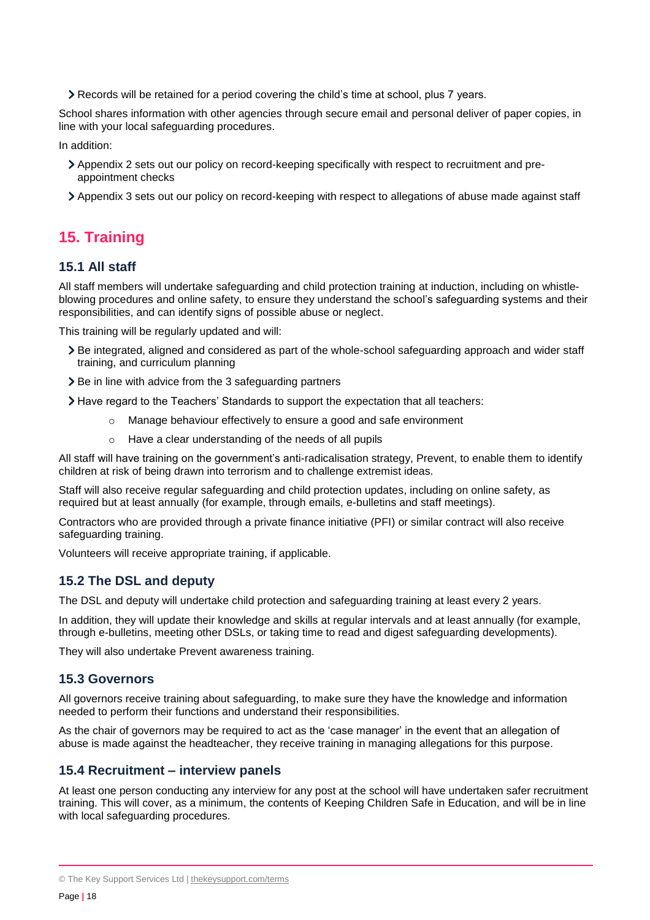Records will be retained for a period covering the child's time at school, plus 7 years.

School shares information with other agencies through secure email and personal deliver of paper copies, in line with your local safeguarding procedures.

In addition:

- Appendix 2 sets out our policy on record-keeping specifically with respect to recruitment and preappointment checks
- Appendix 3 sets out our policy on record-keeping with respect to allegations of abuse made against staff

## <span id="page-17-0"></span>**15. Training**

## **15.1 All staff**

All staff members will undertake safeguarding and child protection training at induction, including on whistleblowing procedures and online safety, to ensure they understand the school's safeguarding systems and their responsibilities, and can identify signs of possible abuse or neglect.

This training will be regularly updated and will:

- Be integrated, aligned and considered as part of the whole-school safeguarding approach and wider staff training, and curriculum planning
- ▶ Be in line with advice from the 3 safeguarding partners

Have regard to the Teachers' Standards to support the expectation that all teachers:

- o Manage behaviour effectively to ensure a good and safe environment
- o Have a clear understanding of the needs of all pupils

All staff will have training on the government's anti-radicalisation strategy, Prevent, to enable them to identify children at risk of being drawn into terrorism and to challenge extremist ideas.

Staff will also receive regular safeguarding and child protection updates, including on online safety, as required but at least annually (for example, through emails, e-bulletins and staff meetings).

Contractors who are provided through a private finance initiative (PFI) or similar contract will also receive safeguarding training.

Volunteers will receive appropriate training, if applicable.

## **15.2 The DSL and deputy**

The DSL and deputy will undertake child protection and safeguarding training at least every 2 years.

In addition, they will update their knowledge and skills at regular intervals and at least annually (for example, through e-bulletins, meeting other DSLs, or taking time to read and digest safeguarding developments).

They will also undertake Prevent awareness training.

#### **15.3 Governors**

All governors receive training about safeguarding, to make sure they have the knowledge and information needed to perform their functions and understand their responsibilities.

As the chair of governors may be required to act as the 'case manager' in the event that an allegation of abuse is made against the headteacher, they receive training in managing allegations for this purpose.

#### **15.4 Recruitment – interview panels**

At least one person conducting any interview for any post at the school will have undertaken safer recruitment training. This will cover, as a minimum, the contents of Keeping Children Safe in Education, and will be in line with local safeguarding procedures.

<sup>©</sup> The Key Support Services Ltd | [thekeysupport.com/terms](https://thekeysupport.com/terms-of-use)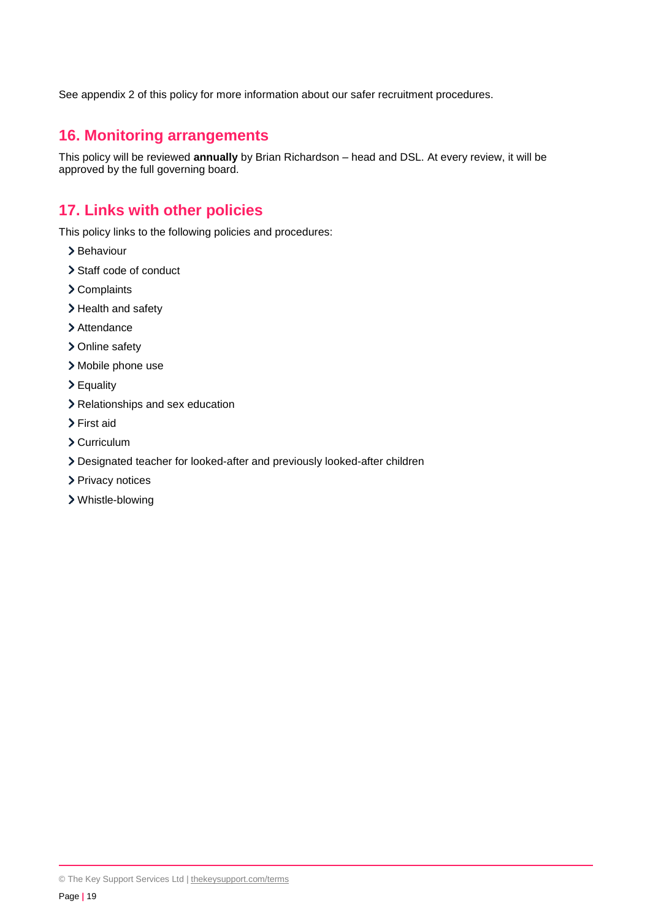See appendix 2 of this policy for more information about our safer recruitment procedures.

## <span id="page-18-0"></span>**16. Monitoring arrangements**

This policy will be reviewed **annually** by Brian Richardson – head and DSL. At every review, it will be approved by the full governing board.

## <span id="page-18-1"></span>**17. Links with other policies**

This policy links to the following policies and procedures:

- > Behaviour
- > Staff code of conduct
- > Complaints
- > Health and safety
- > Attendance
- > Online safety
- > Mobile phone use
- Equality
- > Relationships and sex education
- First aid
- Curriculum
- Designated teacher for looked-after and previously looked-after children
- > Privacy notices
- Whistle-blowing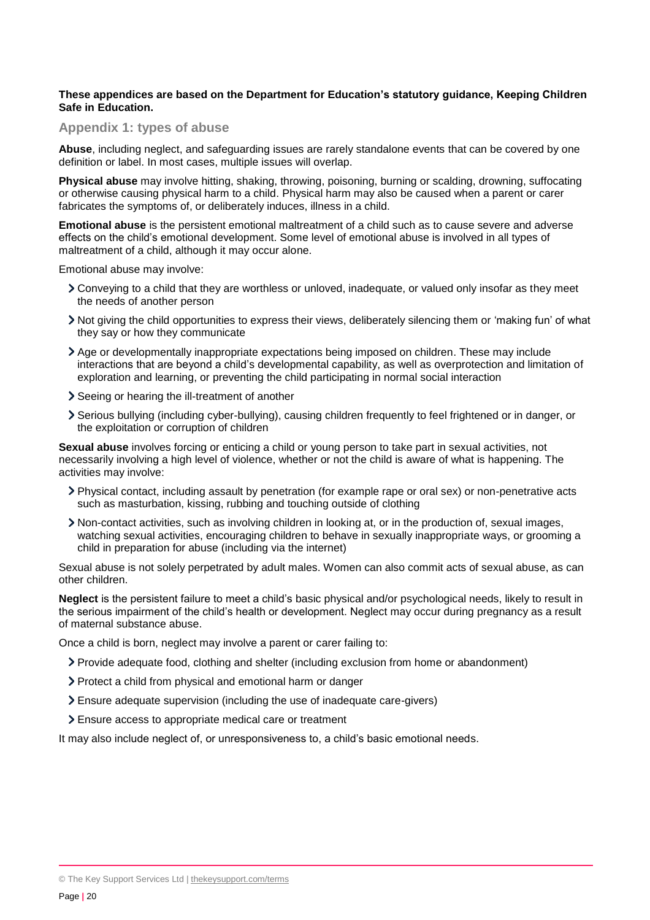#### **These appendices are based on the Department for Education's statutory guidance, Keeping Children Safe in Education.**

#### <span id="page-19-0"></span>**Appendix 1: types of abuse**

**Abuse**, including neglect, and safeguarding issues are rarely standalone events that can be covered by one definition or label. In most cases, multiple issues will overlap.

**Physical abuse** may involve hitting, shaking, throwing, poisoning, burning or scalding, drowning, suffocating or otherwise causing physical harm to a child. Physical harm may also be caused when a parent or carer fabricates the symptoms of, or deliberately induces, illness in a child.

**Emotional abuse** is the persistent emotional maltreatment of a child such as to cause severe and adverse effects on the child's emotional development. Some level of emotional abuse is involved in all types of maltreatment of a child, although it may occur alone.

Emotional abuse may involve:

- Conveying to a child that they are worthless or unloved, inadequate, or valued only insofar as they meet the needs of another person
- Not giving the child opportunities to express their views, deliberately silencing them or 'making fun' of what they say or how they communicate
- Age or developmentally inappropriate expectations being imposed on children. These may include interactions that are beyond a child's developmental capability, as well as overprotection and limitation of exploration and learning, or preventing the child participating in normal social interaction
- Seeing or hearing the ill-treatment of another
- Serious bullying (including cyber-bullying), causing children frequently to feel frightened or in danger, or the exploitation or corruption of children

**Sexual abuse** involves forcing or enticing a child or young person to take part in sexual activities, not necessarily involving a high level of violence, whether or not the child is aware of what is happening. The activities may involve:

- Physical contact, including assault by penetration (for example rape or oral sex) or non-penetrative acts such as masturbation, kissing, rubbing and touching outside of clothing
- Non-contact activities, such as involving children in looking at, or in the production of, sexual images, watching sexual activities, encouraging children to behave in sexually inappropriate ways, or grooming a child in preparation for abuse (including via the internet)

Sexual abuse is not solely perpetrated by adult males. Women can also commit acts of sexual abuse, as can other children.

**Neglect** is the persistent failure to meet a child's basic physical and/or psychological needs, likely to result in the serious impairment of the child's health or development. Neglect may occur during pregnancy as a result of maternal substance abuse.

Once a child is born, neglect may involve a parent or carer failing to:

- Provide adequate food, clothing and shelter (including exclusion from home or abandonment)
- Protect a child from physical and emotional harm or danger
- Ensure adequate supervision (including the use of inadequate care-givers)
- Ensure access to appropriate medical care or treatment

It may also include neglect of, or unresponsiveness to, a child's basic emotional needs.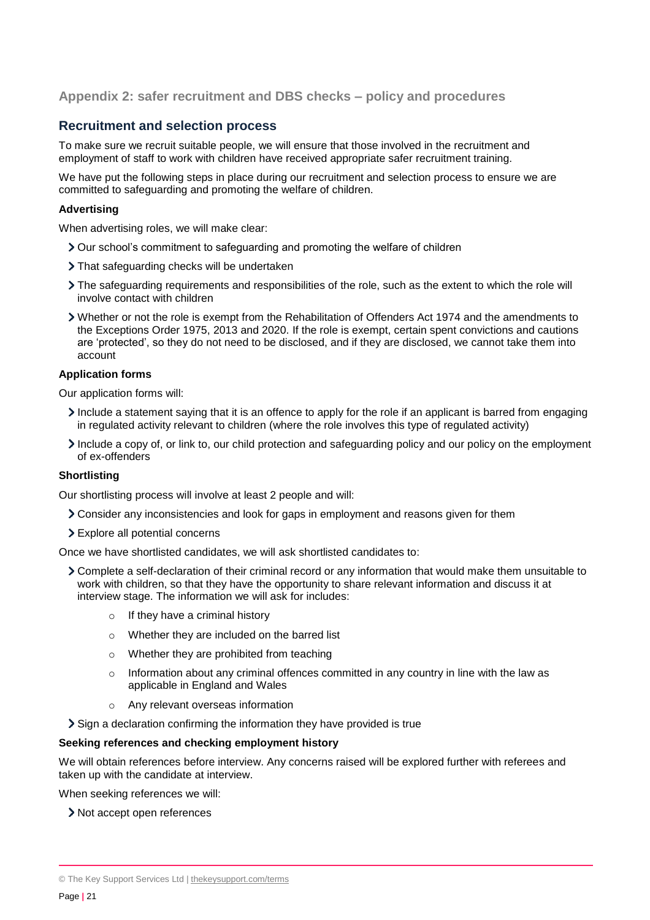#### <span id="page-20-0"></span>**Appendix 2: safer recruitment and DBS checks – policy and procedures**

#### **Recruitment and selection process**

To make sure we recruit suitable people, we will ensure that those involved in the recruitment and employment of staff to work with children have received appropriate safer recruitment training.

We have put the following steps in place during our recruitment and selection process to ensure we are committed to safeguarding and promoting the welfare of children.

#### **Advertising**

When advertising roles, we will make clear:

- Our school's commitment to safeguarding and promoting the welfare of children
- > That safeguarding checks will be undertaken
- The safeguarding requirements and responsibilities of the role, such as the extent to which the role will involve contact with children
- Whether or not the role is exempt from the Rehabilitation of Offenders Act 1974 and the amendments to the Exceptions Order 1975, 2013 and 2020. If the role is exempt, certain spent convictions and cautions are 'protected', so they do not need to be disclosed, and if they are disclosed, we cannot take them into account

#### **Application forms**

Our application forms will:

- Include a statement saying that it is an offence to apply for the role if an applicant is barred from engaging in regulated activity relevant to children (where the role involves this type of regulated activity)
- Include a copy of, or link to, our child protection and safeguarding policy and our policy on the employment of ex-offenders

#### **Shortlisting**

Our shortlisting process will involve at least 2 people and will:

- Consider any inconsistencies and look for gaps in employment and reasons given for them
- Explore all potential concerns

Once we have shortlisted candidates, we will ask shortlisted candidates to:

- Complete a self-declaration of their criminal record or any information that would make them unsuitable to work with children, so that they have the opportunity to share relevant information and discuss it at interview stage. The information we will ask for includes:
	- o If they have a criminal history
	- o Whether they are included on the barred list
	- o Whether they are prohibited from teaching
	- $\circ$  Information about any criminal offences committed in any country in line with the law as applicable in England and Wales
	- o Any relevant overseas information

Sign a declaration confirming the information they have provided is true

#### **Seeking references and checking employment history**

We will obtain references before interview. Any concerns raised will be explored further with referees and taken up with the candidate at interview.

When seeking references we will:

> Not accept open references

<sup>©</sup> The Key Support Services Ltd | [thekeysupport.com/terms](https://thekeysupport.com/terms-of-use)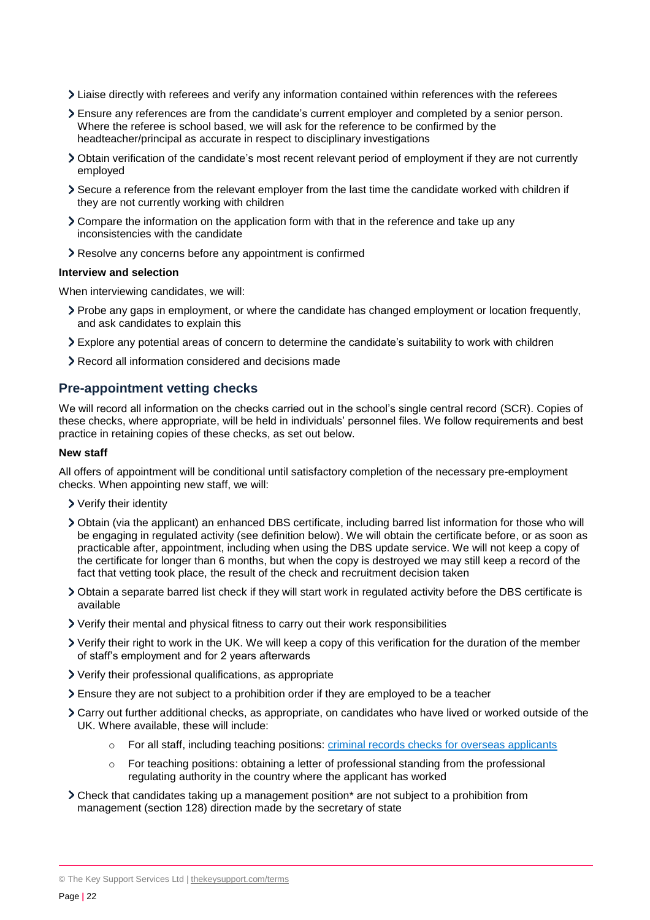- Liaise directly with referees and verify any information contained within references with the referees
- Ensure any references are from the candidate's current employer and completed by a senior person. Where the referee is school based, we will ask for the reference to be confirmed by the headteacher/principal as accurate in respect to disciplinary investigations
- Obtain verification of the candidate's most recent relevant period of employment if they are not currently employed
- Secure a reference from the relevant employer from the last time the candidate worked with children if they are not currently working with children
- Compare the information on the application form with that in the reference and take up any inconsistencies with the candidate
- Resolve any concerns before any appointment is confirmed

#### **Interview and selection**

When interviewing candidates, we will:

- Probe any gaps in employment, or where the candidate has changed employment or location frequently, and ask candidates to explain this
- Explore any potential areas of concern to determine the candidate's suitability to work with children
- Record all information considered and decisions made

#### **Pre-appointment vetting checks**

We will record all information on the checks carried out in the school's single central record (SCR). Copies of these checks, where appropriate, will be held in individuals' personnel files. We follow requirements and best practice in retaining copies of these checks, as set out below.

#### **New staff**

All offers of appointment will be conditional until satisfactory completion of the necessary pre-employment checks. When appointing new staff, we will:

- Verify their identity
- Obtain (via the applicant) an enhanced DBS certificate, including barred list information for those who will be engaging in regulated activity (see definition below). We will obtain the certificate before, or as soon as practicable after, appointment, including when using the DBS update service. We will not keep a copy of the certificate for longer than 6 months, but when the copy is destroyed we may still keep a record of the fact that vetting took place, the result of the check and recruitment decision taken
- Obtain a separate barred list check if they will start work in regulated activity before the DBS certificate is available
- Verify their mental and physical fitness to carry out their work responsibilities
- Verify their right to work in the UK. We will keep a copy of this verification for the duration of the member of staff's employment and for 2 years afterwards
- Verify their professional qualifications, as appropriate
- Ensure they are not subject to a prohibition order if they are employed to be a teacher
- Carry out further additional checks, as appropriate, on candidates who have lived or worked outside of the UK. Where available, these will include:
	- o For all staff, including teaching positions: [criminal records checks for overseas applicants](https://www.gov.uk/government/publications/criminal-records-checks-for-overseas-applicants)
	- $\circ$  For teaching positions: obtaining a letter of professional standing from the professional regulating authority in the country where the applicant has worked
- Check that candidates taking up a management position\* are not subject to a prohibition from management (section 128) direction made by the secretary of state

© The Key Support Services Ltd | [thekeysupport.com/terms](https://thekeysupport.com/terms-of-use)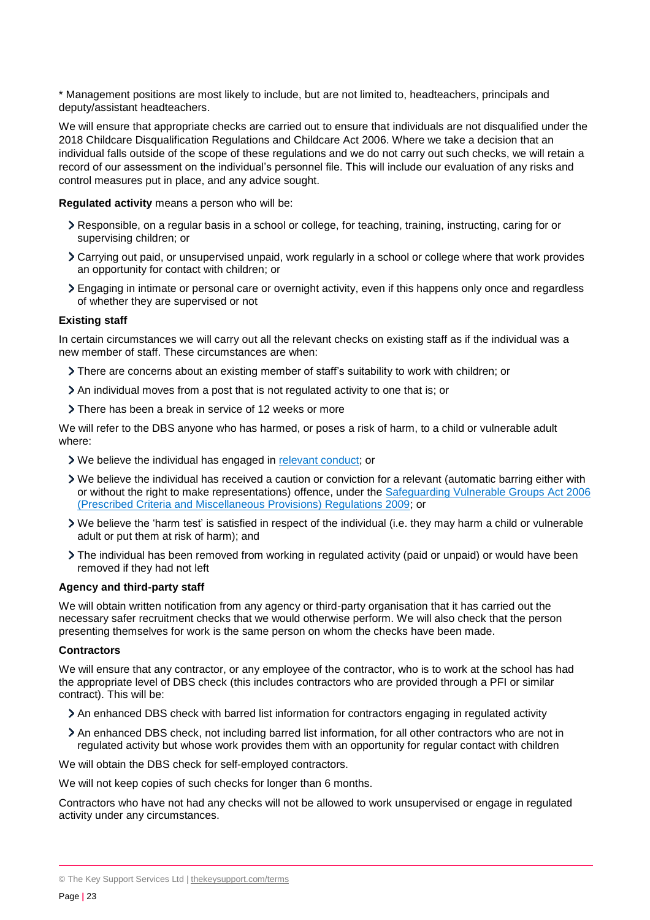\* Management positions are most likely to include, but are not limited to, headteachers, principals and deputy/assistant headteachers.

We will ensure that appropriate checks are carried out to ensure that individuals are not disqualified under the 2018 Childcare Disqualification Regulations and Childcare Act 2006. Where we take a decision that an individual falls outside of the scope of these regulations and we do not carry out such checks, we will retain a record of our assessment on the individual's personnel file. This will include our evaluation of any risks and control measures put in place, and any advice sought.

**Regulated activity** means a person who will be:

- Responsible, on a regular basis in a school or college, for teaching, training, instructing, caring for or supervising children; or
- Carrying out paid, or unsupervised unpaid, work regularly in a school or college where that work provides an opportunity for contact with children; or
- Engaging in intimate or personal care or overnight activity, even if this happens only once and regardless of whether they are supervised or not

#### **Existing staff**

In certain circumstances we will carry out all the relevant checks on existing staff as if the individual was a new member of staff. These circumstances are when:

- There are concerns about an existing member of staff's suitability to work with children; or
- An individual moves from a post that is not regulated activity to one that is; or
- > There has been a break in service of 12 weeks or more

We will refer to the DBS anyone who has harmed, or poses a risk of harm, to a child or vulnerable adult where:

- We believe the individual has engaged in [relevant conduct;](https://www.gov.uk/guidance/making-barring-referrals-to-the-dbs#relevant-conduct-in-relation-to-children) or
- We believe the individual has received a caution or conviction for a relevant (automatic barring either with or without the right to make representations) offence, under the [Safeguarding Vulnerable](http://www.legislation.gov.uk/uksi/2009/37/contents/made) Groups Act 2006 [\(Prescribed Criteria and Miscellaneous Provisions\) Regulations 2009;](http://www.legislation.gov.uk/uksi/2009/37/contents/made) or
- We believe the 'harm test' is satisfied in respect of the individual (i.e. they may harm a child or vulnerable adult or put them at risk of harm); and
- The individual has been removed from working in regulated activity (paid or unpaid) or would have been removed if they had not left

#### **Agency and third-party staff**

We will obtain written notification from any agency or third-party organisation that it has carried out the necessary safer recruitment checks that we would otherwise perform. We will also check that the person presenting themselves for work is the same person on whom the checks have been made.

#### **Contractors**

We will ensure that any contractor, or any employee of the contractor, who is to work at the school has had the appropriate level of DBS check (this includes contractors who are provided through a PFI or similar contract). This will be:

- An enhanced DBS check with barred list information for contractors engaging in regulated activity
- An enhanced DBS check, not including barred list information, for all other contractors who are not in regulated activity but whose work provides them with an opportunity for regular contact with children

We will obtain the DBS check for self-employed contractors.

We will not keep copies of such checks for longer than 6 months.

Contractors who have not had any checks will not be allowed to work unsupervised or engage in regulated activity under any circumstances.

<sup>©</sup> The Key Support Services Ltd | [thekeysupport.com/terms](https://thekeysupport.com/terms-of-use)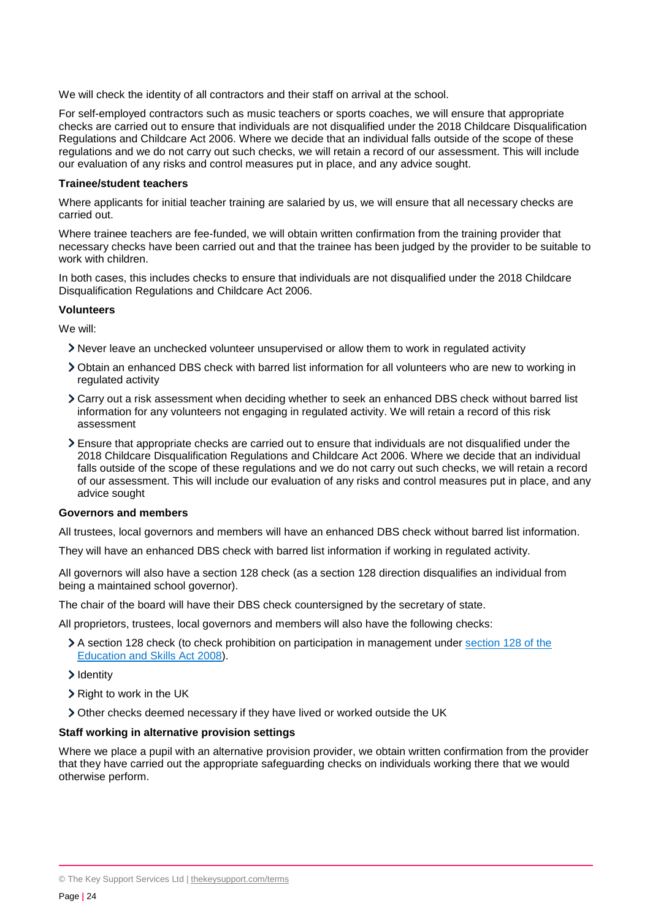We will check the identity of all contractors and their staff on arrival at the school.

For self-employed contractors such as music teachers or sports coaches, we will ensure that appropriate checks are carried out to ensure that individuals are not disqualified under the 2018 Childcare Disqualification Regulations and Childcare Act 2006. Where we decide that an individual falls outside of the scope of these regulations and we do not carry out such checks, we will retain a record of our assessment. This will include our evaluation of any risks and control measures put in place, and any advice sought.

#### **Trainee/student teachers**

Where applicants for initial teacher training are salaried by us, we will ensure that all necessary checks are carried out.

Where trainee teachers are fee-funded, we will obtain written confirmation from the training provider that necessary checks have been carried out and that the trainee has been judged by the provider to be suitable to work with children.

In both cases, this includes checks to ensure that individuals are not disqualified under the 2018 Childcare Disqualification Regulations and Childcare Act 2006.

#### **Volunteers**

We will:

- Never leave an unchecked volunteer unsupervised or allow them to work in regulated activity
- Obtain an enhanced DBS check with barred list information for all volunteers who are new to working in regulated activity
- Carry out a risk assessment when deciding whether to seek an enhanced DBS check without barred list information for any volunteers not engaging in regulated activity. We will retain a record of this risk assessment
- Ensure that appropriate checks are carried out to ensure that individuals are not disqualified under the 2018 Childcare Disqualification Regulations and Childcare Act 2006. Where we decide that an individual falls outside of the scope of these regulations and we do not carry out such checks, we will retain a record of our assessment. This will include our evaluation of any risks and control measures put in place, and any advice sought

#### **Governors and members**

All trustees, local governors and members will have an enhanced DBS check without barred list information.

They will have an enhanced DBS check with barred list information if working in regulated activity.

All governors will also have a section 128 check (as a section 128 direction disqualifies an individual from being a maintained school governor).

The chair of the board will have their DBS check countersigned by the secretary of state.

All proprietors, trustees, local governors and members will also have the following checks:

- A section 128 check (to check prohibition on participation in management under [section 128 of the](https://www.legislation.gov.uk/ukpga/2008/25/section/128)  [Education and Skills Act 2008\)](https://www.legislation.gov.uk/ukpga/2008/25/section/128).
- > Identity
- $\triangleright$  Right to work in the UK
- Other checks deemed necessary if they have lived or worked outside the UK

#### **Staff working in alternative provision settings**

Where we place a pupil with an alternative provision provider, we obtain written confirmation from the provider that they have carried out the appropriate safeguarding checks on individuals working there that we would otherwise perform.

<sup>©</sup> The Key Support Services Ltd | [thekeysupport.com/terms](https://thekeysupport.com/terms-of-use)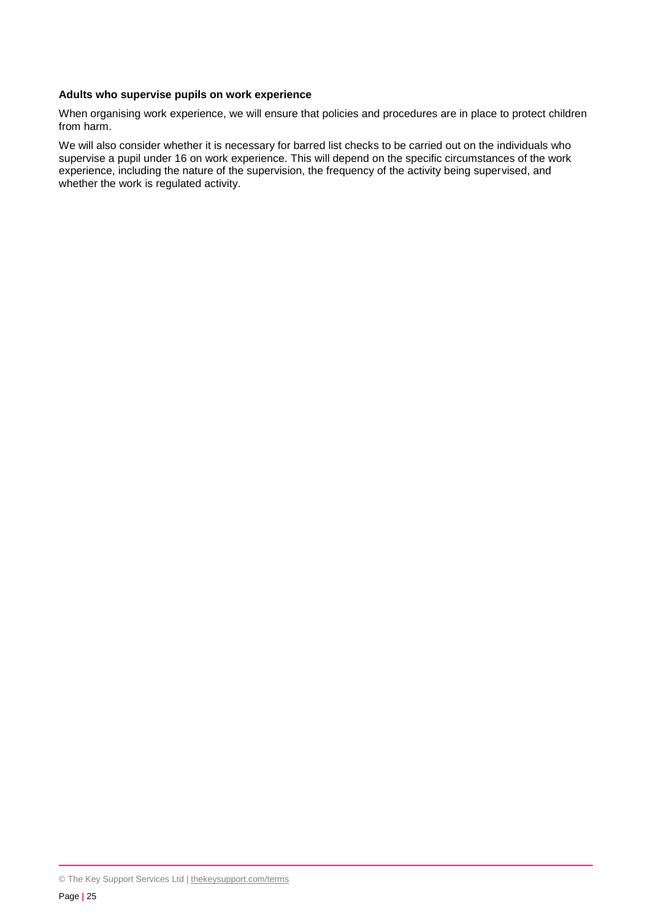#### **Adults who supervise pupils on work experience**

When organising work experience, we will ensure that policies and procedures are in place to protect children from harm.

We will also consider whether it is necessary for barred list checks to be carried out on the individuals who supervise a pupil under 16 on work experience. This will depend on the specific circumstances of the work experience, including the nature of the supervision, the frequency of the activity being supervised, and whether the work is regulated activity.

<sup>©</sup> The Key Support Services Ltd | [thekeysupport.com/terms](https://thekeysupport.com/terms-of-use)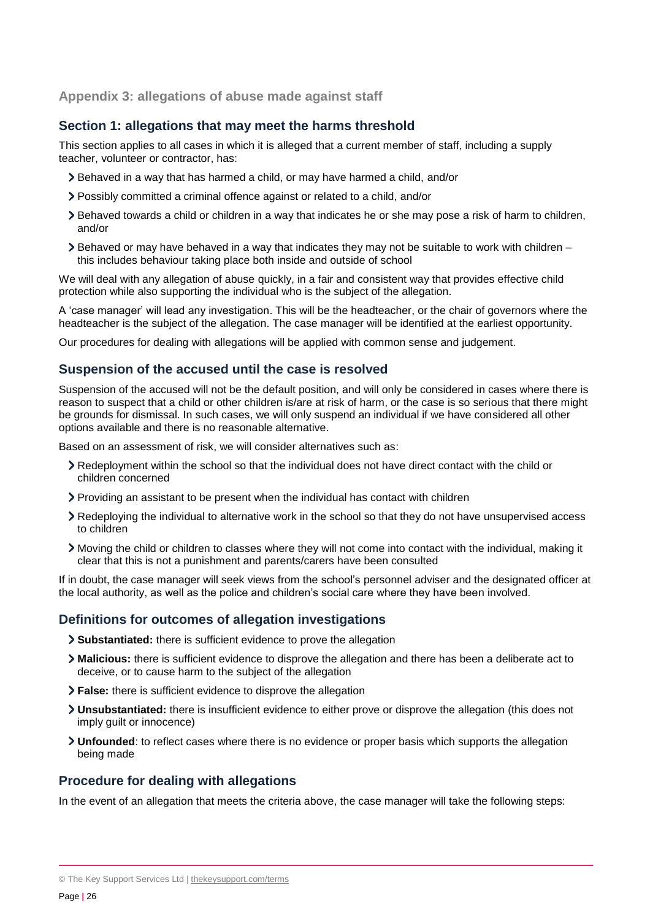#### <span id="page-25-0"></span>**Appendix 3: allegations of abuse made against staff**

## **Section 1: allegations that may meet the harms threshold**

This section applies to all cases in which it is alleged that a current member of staff, including a supply teacher, volunteer or contractor, has:

- Behaved in a way that has harmed a child, or may have harmed a child, and/or
- Possibly committed a criminal offence against or related to a child, and/or
- Behaved towards a child or children in a way that indicates he or she may pose a risk of harm to children, and/or
- $\geq$  Behaved or may have behaved in a way that indicates they may not be suitable to work with children this includes behaviour taking place both inside and outside of school

We will deal with any allegation of abuse quickly, in a fair and consistent way that provides effective child protection while also supporting the individual who is the subject of the allegation.

A 'case manager' will lead any investigation. This will be the headteacher, or the chair of governors where the headteacher is the subject of the allegation. The case manager will be identified at the earliest opportunity.

Our procedures for dealing with allegations will be applied with common sense and judgement.

#### **Suspension of the accused until the case is resolved**

Suspension of the accused will not be the default position, and will only be considered in cases where there is reason to suspect that a child or other children is/are at risk of harm, or the case is so serious that there might be grounds for dismissal. In such cases, we will only suspend an individual if we have considered all other options available and there is no reasonable alternative.

Based on an assessment of risk, we will consider alternatives such as:

- Redeployment within the school so that the individual does not have direct contact with the child or children concerned
- Providing an assistant to be present when the individual has contact with children
- Redeploying the individual to alternative work in the school so that they do not have unsupervised access to children
- Moving the child or children to classes where they will not come into contact with the individual, making it clear that this is not a punishment and parents/carers have been consulted

If in doubt, the case manager will seek views from the school's personnel adviser and the designated officer at the local authority, as well as the police and children's social care where they have been involved.

#### **Definitions for outcomes of allegation investigations**

- **Substantiated:** there is sufficient evidence to prove the allegation
- **Malicious:** there is sufficient evidence to disprove the allegation and there has been a deliberate act to deceive, or to cause harm to the subject of the allegation
- **False:** there is sufficient evidence to disprove the allegation
- **Unsubstantiated:** there is insufficient evidence to either prove or disprove the allegation (this does not imply guilt or innocence)
- **Unfounded**: to reflect cases where there is no evidence or proper basis which supports the allegation being made

#### **Procedure for dealing with allegations**

In the event of an allegation that meets the criteria above, the case manager will take the following steps:

<sup>©</sup> The Key Support Services Ltd | [thekeysupport.com/terms](https://thekeysupport.com/terms-of-use)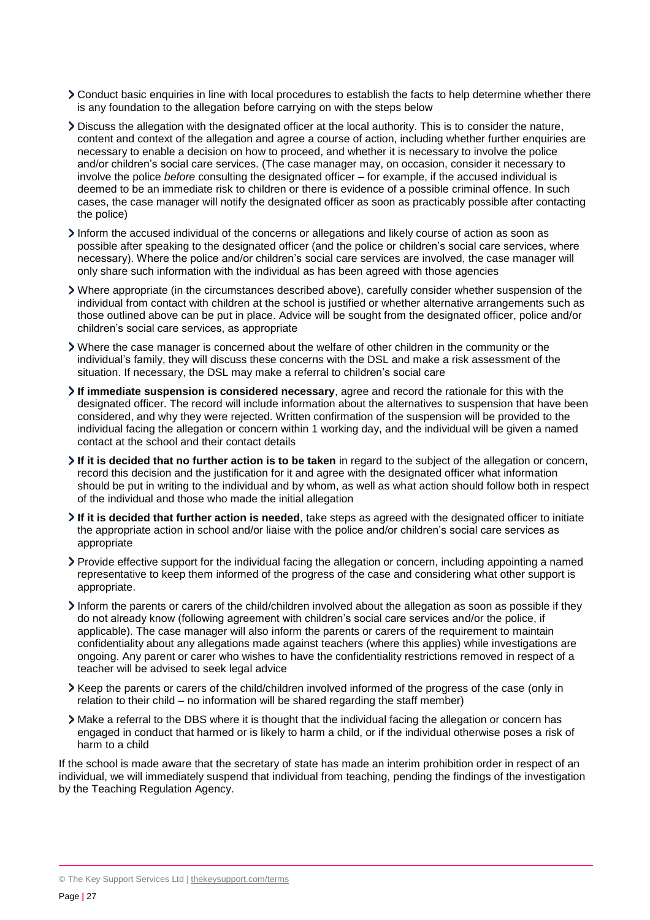- Conduct basic enquiries in line with local procedures to establish the facts to help determine whether there is any foundation to the allegation before carrying on with the steps below
- Discuss the allegation with the designated officer at the local authority. This is to consider the nature, content and context of the allegation and agree a course of action, including whether further enquiries are necessary to enable a decision on how to proceed, and whether it is necessary to involve the police and/or children's social care services. (The case manager may, on occasion, consider it necessary to involve the police *before* consulting the designated officer – for example, if the accused individual is deemed to be an immediate risk to children or there is evidence of a possible criminal offence. In such cases, the case manager will notify the designated officer as soon as practicably possible after contacting the police)
- Inform the accused individual of the concerns or allegations and likely course of action as soon as possible after speaking to the designated officer (and the police or children's social care services, where necessary). Where the police and/or children's social care services are involved, the case manager will only share such information with the individual as has been agreed with those agencies
- Where appropriate (in the circumstances described above), carefully consider whether suspension of the individual from contact with children at the school is justified or whether alternative arrangements such as those outlined above can be put in place. Advice will be sought from the designated officer, police and/or children's social care services, as appropriate
- Where the case manager is concerned about the welfare of other children in the community or the individual's family, they will discuss these concerns with the DSL and make a risk assessment of the situation. If necessary, the DSL may make a referral to children's social care
- **If immediate suspension is considered necessary**, agree and record the rationale for this with the designated officer. The record will include information about the alternatives to suspension that have been considered, and why they were rejected. Written confirmation of the suspension will be provided to the individual facing the allegation or concern within 1 working day, and the individual will be given a named contact at the school and their contact details
- **If it is decided that no further action is to be taken** in regard to the subject of the allegation or concern, record this decision and the justification for it and agree with the designated officer what information should be put in writing to the individual and by whom, as well as what action should follow both in respect of the individual and those who made the initial allegation
- **If it is decided that further action is needed**, take steps as agreed with the designated officer to initiate the appropriate action in school and/or liaise with the police and/or children's social care services as appropriate
- Provide effective support for the individual facing the allegation or concern, including appointing a named representative to keep them informed of the progress of the case and considering what other support is appropriate.
- Inform the parents or carers of the child/children involved about the allegation as soon as possible if they do not already know (following agreement with children's social care services and/or the police, if applicable). The case manager will also inform the parents or carers of the requirement to maintain confidentiality about any allegations made against teachers (where this applies) while investigations are ongoing. Any parent or carer who wishes to have the confidentiality restrictions removed in respect of a teacher will be advised to seek legal advice
- Keep the parents or carers of the child/children involved informed of the progress of the case (only in relation to their child – no information will be shared regarding the staff member)
- Make a referral to the DBS where it is thought that the individual facing the allegation or concern has engaged in conduct that harmed or is likely to harm a child, or if the individual otherwise poses a risk of harm to a child

If the school is made aware that the secretary of state has made an interim prohibition order in respect of an individual, we will immediately suspend that individual from teaching, pending the findings of the investigation by the Teaching Regulation Agency.

<sup>©</sup> The Key Support Services Ltd | [thekeysupport.com/terms](https://thekeysupport.com/terms-of-use)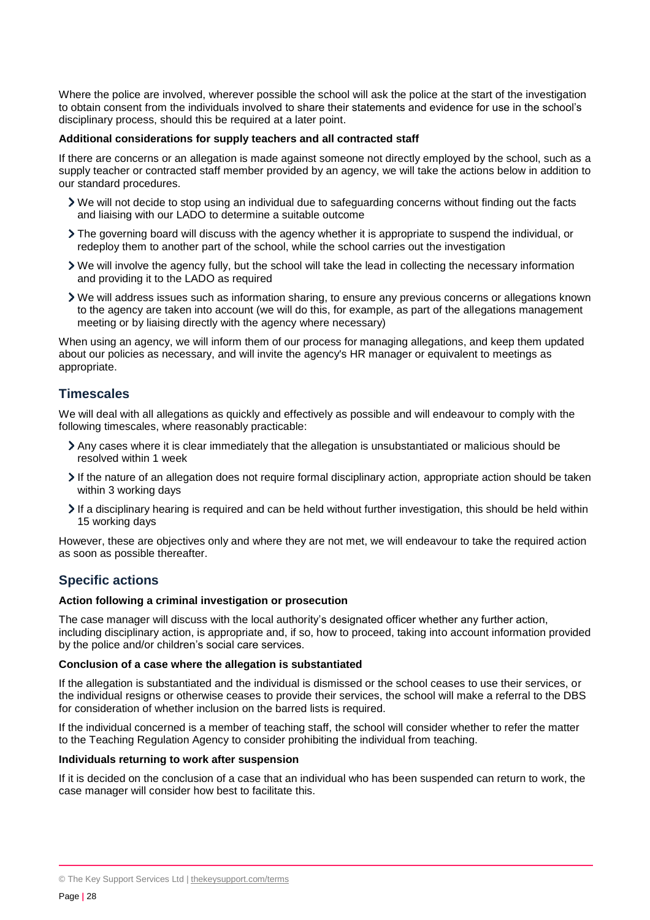Where the police are involved, wherever possible the school will ask the police at the start of the investigation to obtain consent from the individuals involved to share their statements and evidence for use in the school's disciplinary process, should this be required at a later point.

#### **Additional considerations for supply teachers and all contracted staff**

If there are concerns or an allegation is made against someone not directly employed by the school, such as a supply teacher or contracted staff member provided by an agency, we will take the actions below in addition to our standard procedures.

- We will not decide to stop using an individual due to safeguarding concerns without finding out the facts and liaising with our LADO to determine a suitable outcome
- The governing board will discuss with the agency whether it is appropriate to suspend the individual, or redeploy them to another part of the school, while the school carries out the investigation
- We will involve the agency fully, but the school will take the lead in collecting the necessary information and providing it to the LADO as required
- We will address issues such as information sharing, to ensure any previous concerns or allegations known to the agency are taken into account (we will do this, for example, as part of the allegations management meeting or by liaising directly with the agency where necessary)

When using an agency, we will inform them of our process for managing allegations, and keep them updated about our policies as necessary, and will invite the agency's HR manager or equivalent to meetings as appropriate.

#### **Timescales**

We will deal with all allegations as quickly and effectively as possible and will endeavour to comply with the following timescales, where reasonably practicable:

- Any cases where it is clear immediately that the allegation is unsubstantiated or malicious should be resolved within 1 week
- If the nature of an allegation does not require formal disciplinary action, appropriate action should be taken within 3 working days
- If a disciplinary hearing is required and can be held without further investigation, this should be held within 15 working days

However, these are objectives only and where they are not met, we will endeavour to take the required action as soon as possible thereafter.

## **Specific actions**

#### **Action following a criminal investigation or prosecution**

The case manager will discuss with the local authority's designated officer whether any further action, including disciplinary action, is appropriate and, if so, how to proceed, taking into account information provided by the police and/or children's social care services.

#### **Conclusion of a case where the allegation is substantiated**

If the allegation is substantiated and the individual is dismissed or the school ceases to use their services, or the individual resigns or otherwise ceases to provide their services, the school will make a referral to the DBS for consideration of whether inclusion on the barred lists is required.

If the individual concerned is a member of teaching staff, the school will consider whether to refer the matter to the Teaching Regulation Agency to consider prohibiting the individual from teaching.

#### **Individuals returning to work after suspension**

If it is decided on the conclusion of a case that an individual who has been suspended can return to work, the case manager will consider how best to facilitate this.

<sup>©</sup> The Key Support Services Ltd | [thekeysupport.com/terms](https://thekeysupport.com/terms-of-use)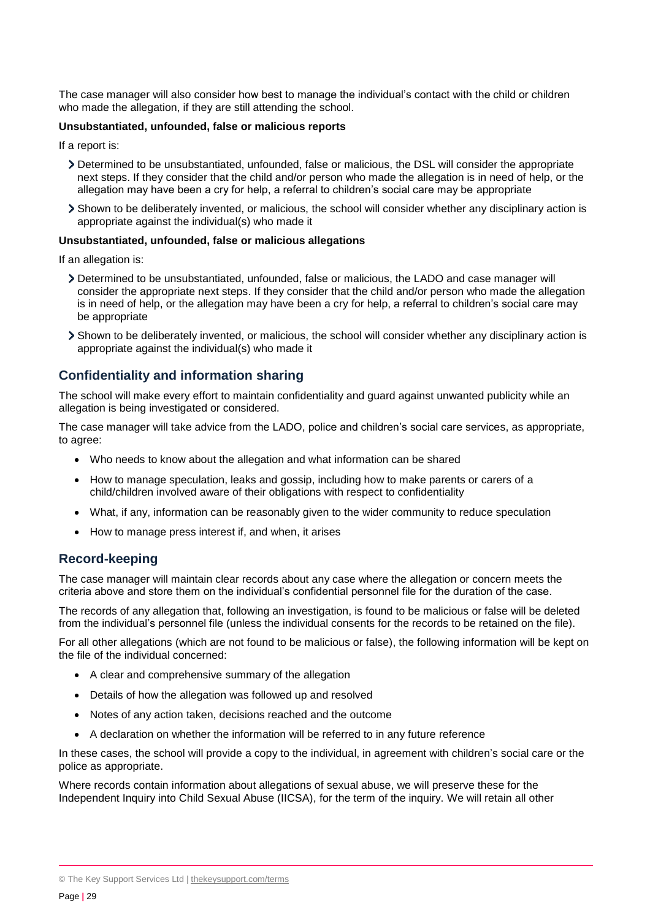The case manager will also consider how best to manage the individual's contact with the child or children who made the allegation, if they are still attending the school.

#### **Unsubstantiated, unfounded, false or malicious reports**

If a report is:

- Determined to be unsubstantiated, unfounded, false or malicious, the DSL will consider the appropriate next steps. If they consider that the child and/or person who made the allegation is in need of help, or the allegation may have been a cry for help, a referral to children's social care may be appropriate
- Shown to be deliberately invented, or malicious, the school will consider whether any disciplinary action is appropriate against the individual(s) who made it

#### **Unsubstantiated, unfounded, false or malicious allegations**

If an allegation is:

- Determined to be unsubstantiated, unfounded, false or malicious, the LADO and case manager will consider the appropriate next steps. If they consider that the child and/or person who made the allegation is in need of help, or the allegation may have been a cry for help, a referral to children's social care may be appropriate
- Shown to be deliberately invented, or malicious, the school will consider whether any disciplinary action is appropriate against the individual(s) who made it

#### **Confidentiality and information sharing**

The school will make every effort to maintain confidentiality and guard against unwanted publicity while an allegation is being investigated or considered.

The case manager will take advice from the LADO, police and children's social care services, as appropriate, to agree:

- Who needs to know about the allegation and what information can be shared
- How to manage speculation, leaks and gossip, including how to make parents or carers of a child/children involved aware of their obligations with respect to confidentiality
- What, if any, information can be reasonably given to the wider community to reduce speculation
- How to manage press interest if, and when, it arises

#### **Record-keeping**

The case manager will maintain clear records about any case where the allegation or concern meets the criteria above and store them on the individual's confidential personnel file for the duration of the case.

The records of any allegation that, following an investigation, is found to be malicious or false will be deleted from the individual's personnel file (unless the individual consents for the records to be retained on the file).

For all other allegations (which are not found to be malicious or false), the following information will be kept on the file of the individual concerned:

- A clear and comprehensive summary of the allegation
- Details of how the allegation was followed up and resolved
- Notes of any action taken, decisions reached and the outcome
- A declaration on whether the information will be referred to in any future reference

In these cases, the school will provide a copy to the individual, in agreement with children's social care or the police as appropriate.

Where records contain information about allegations of sexual abuse, we will preserve these for the Independent Inquiry into Child Sexual Abuse (IICSA), for the term of the inquiry. We will retain all other

<sup>©</sup> The Key Support Services Ltd | [thekeysupport.com/terms](https://thekeysupport.com/terms-of-use)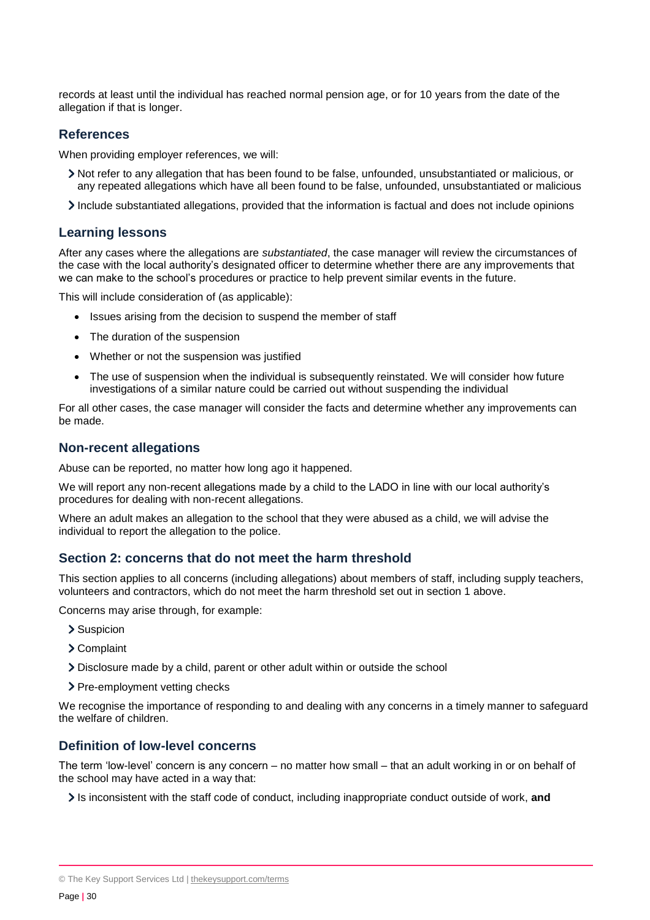records at least until the individual has reached normal pension age, or for 10 years from the date of the allegation if that is longer.

#### **References**

When providing employer references, we will:

- Not refer to any allegation that has been found to be false, unfounded, unsubstantiated or malicious, or any repeated allegations which have all been found to be false, unfounded, unsubstantiated or malicious
- Include substantiated allegations, provided that the information is factual and does not include opinions

#### **Learning lessons**

After any cases where the allegations are *substantiated*, the case manager will review the circumstances of the case with the local authority's designated officer to determine whether there are any improvements that we can make to the school's procedures or practice to help prevent similar events in the future.

This will include consideration of (as applicable):

- Issues arising from the decision to suspend the member of staff
- The duration of the suspension
- Whether or not the suspension was justified
- The use of suspension when the individual is subsequently reinstated. We will consider how future investigations of a similar nature could be carried out without suspending the individual

For all other cases, the case manager will consider the facts and determine whether any improvements can be made.

#### **Non-recent allegations**

Abuse can be reported, no matter how long ago it happened.

We will report any non-recent allegations made by a child to the LADO in line with our local authority's procedures for dealing with non-recent allegations.

Where an adult makes an allegation to the school that they were abused as a child, we will advise the individual to report the allegation to the police.

#### **Section 2: concerns that do not meet the harm threshold**

This section applies to all concerns (including allegations) about members of staff, including supply teachers, volunteers and contractors, which do not meet the harm threshold set out in section 1 above.

Concerns may arise through, for example:

- > Suspicion
- Complaint
- Disclosure made by a child, parent or other adult within or outside the school
- > Pre-employment vetting checks

We recognise the importance of responding to and dealing with any concerns in a timely manner to safeguard the welfare of children.

#### **Definition of low-level concerns**

The term 'low-level' concern is any concern – no matter how small – that an adult working in or on behalf of the school may have acted in a way that:

Is inconsistent with the staff code of conduct, including inappropriate conduct outside of work, and

<sup>©</sup> The Key Support Services Ltd | [thekeysupport.com/terms](https://thekeysupport.com/terms-of-use)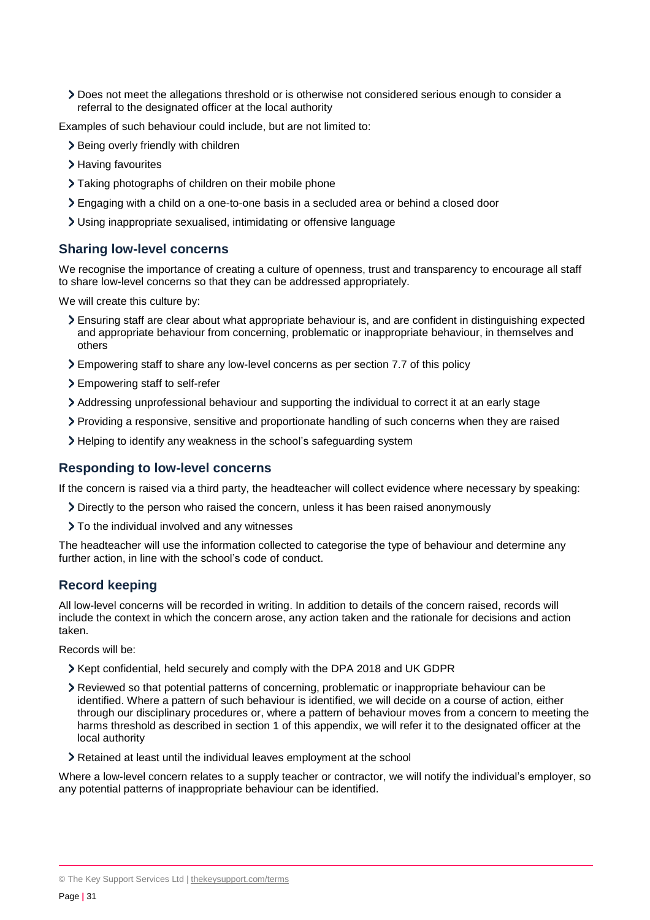Does not meet the allegations threshold or is otherwise not considered serious enough to consider a referral to the designated officer at the local authority

Examples of such behaviour could include, but are not limited to:

- > Being overly friendly with children
- > Having favourites
- Taking photographs of children on their mobile phone
- Engaging with a child on a one-to-one basis in a secluded area or behind a closed door
- Using inappropriate sexualised, intimidating or offensive language

#### **Sharing low-level concerns**

We recognise the importance of creating a culture of openness, trust and transparency to encourage all staff to share low-level concerns so that they can be addressed appropriately.

We will create this culture by:

- Ensuring staff are clear about what appropriate behaviour is, and are confident in distinguishing expected and appropriate behaviour from concerning, problematic or inappropriate behaviour, in themselves and others
- Empowering staff to share any low-level concerns as per section 7.7 of this policy
- Empowering staff to self-refer
- Addressing unprofessional behaviour and supporting the individual to correct it at an early stage
- Providing a responsive, sensitive and proportionate handling of such concerns when they are raised
- > Helping to identify any weakness in the school's safeguarding system

#### **Responding to low-level concerns**

If the concern is raised via a third party, the headteacher will collect evidence where necessary by speaking:

- Directly to the person who raised the concern, unless it has been raised anonymously
- $\sum$  To the individual involved and any witnesses

The headteacher will use the information collected to categorise the type of behaviour and determine any further action, in line with the school's code of conduct.

#### **Record keeping**

All low-level concerns will be recorded in writing. In addition to details of the concern raised, records will include the context in which the concern arose, any action taken and the rationale for decisions and action taken.

Records will be:

- Xept confidential, held securely and comply with the DPA 2018 and UK GDPR
- Reviewed so that potential patterns of concerning, problematic or inappropriate behaviour can be identified. Where a pattern of such behaviour is identified, we will decide on a course of action, either through our disciplinary procedures or, where a pattern of behaviour moves from a concern to meeting the harms threshold as described in section 1 of this appendix, we will refer it to the designated officer at the local authority
- Retained at least until the individual leaves employment at the school

Where a low-level concern relates to a supply teacher or contractor, we will notify the individual's employer, so any potential patterns of inappropriate behaviour can be identified.

<sup>©</sup> The Key Support Services Ltd | [thekeysupport.com/terms](https://thekeysupport.com/terms-of-use)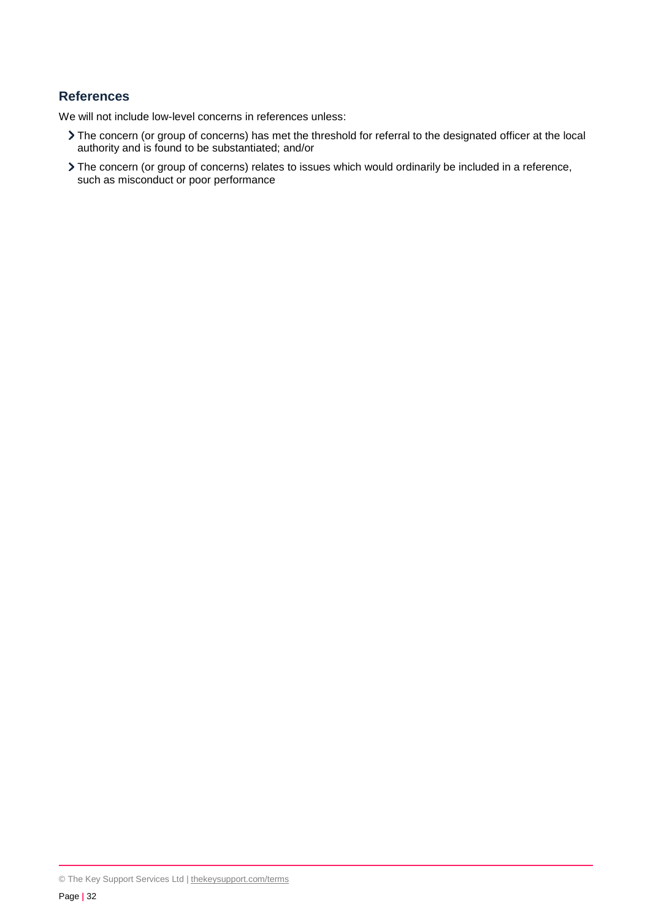#### **References**

We will not include low-level concerns in references unless:

- The concern (or group of concerns) has met the threshold for referral to the designated officer at the local authority and is found to be substantiated; and/or
- The concern (or group of concerns) relates to issues which would ordinarily be included in a reference, such as misconduct or poor performance

<sup>©</sup> The Key Support Services Ltd | [thekeysupport.com/terms](https://thekeysupport.com/terms-of-use)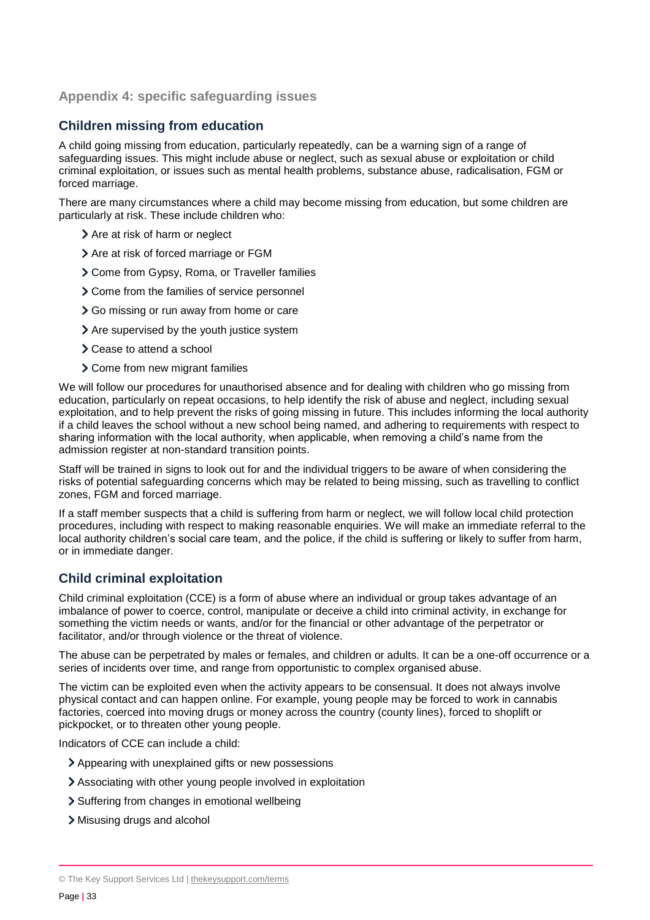#### <span id="page-32-0"></span>**Appendix 4: specific safeguarding issues**

## **Children missing from education**

A child going missing from education, particularly repeatedly, can be a warning sign of a range of safeguarding issues. This might include abuse or neglect, such as sexual abuse or exploitation or child criminal exploitation, or issues such as mental health problems, substance abuse, radicalisation, FGM or forced marriage.

There are many circumstances where a child may become missing from education, but some children are particularly at risk. These include children who:

- > Are at risk of harm or neglect
- $\geq$  Are at risk of forced marriage or FGM
- Come from Gypsy, Roma, or Traveller families
- Come from the families of service personnel
- Go missing or run away from home or care
- > Are supervised by the youth justice system
- Cease to attend a school
- Come from new migrant families

We will follow our procedures for unauthorised absence and for dealing with children who go missing from education, particularly on repeat occasions, to help identify the risk of abuse and neglect, including sexual exploitation, and to help prevent the risks of going missing in future. This includes informing the local authority if a child leaves the school without a new school being named, and adhering to requirements with respect to sharing information with the local authority, when applicable, when removing a child's name from the admission register at non-standard transition points.

Staff will be trained in signs to look out for and the individual triggers to be aware of when considering the risks of potential safeguarding concerns which may be related to being missing, such as travelling to conflict zones, FGM and forced marriage.

If a staff member suspects that a child is suffering from harm or neglect, we will follow local child protection procedures, including with respect to making reasonable enquiries. We will make an immediate referral to the local authority children's social care team, and the police, if the child is suffering or likely to suffer from harm, or in immediate danger.

## **Child criminal exploitation**

Child criminal exploitation (CCE) is a form of abuse where an individual or group takes advantage of an imbalance of power to coerce, control, manipulate or deceive a child into criminal activity, in exchange for something the victim needs or wants, and/or for the financial or other advantage of the perpetrator or facilitator, and/or through violence or the threat of violence.

The abuse can be perpetrated by males or females, and children or adults. It can be a one-off occurrence or a series of incidents over time, and range from opportunistic to complex organised abuse.

The victim can be exploited even when the activity appears to be consensual. It does not always involve physical contact and can happen online. For example, young people may be forced to work in cannabis factories, coerced into moving drugs or money across the country (county lines), forced to shoplift or pickpocket, or to threaten other young people.

Indicators of CCE can include a child:

- Appearing with unexplained gifts or new possessions
- Associating with other young people involved in exploitation
- > Suffering from changes in emotional wellbeing
- Misusing drugs and alcohol

<sup>©</sup> The Key Support Services Ltd | [thekeysupport.com/terms](https://thekeysupport.com/terms-of-use)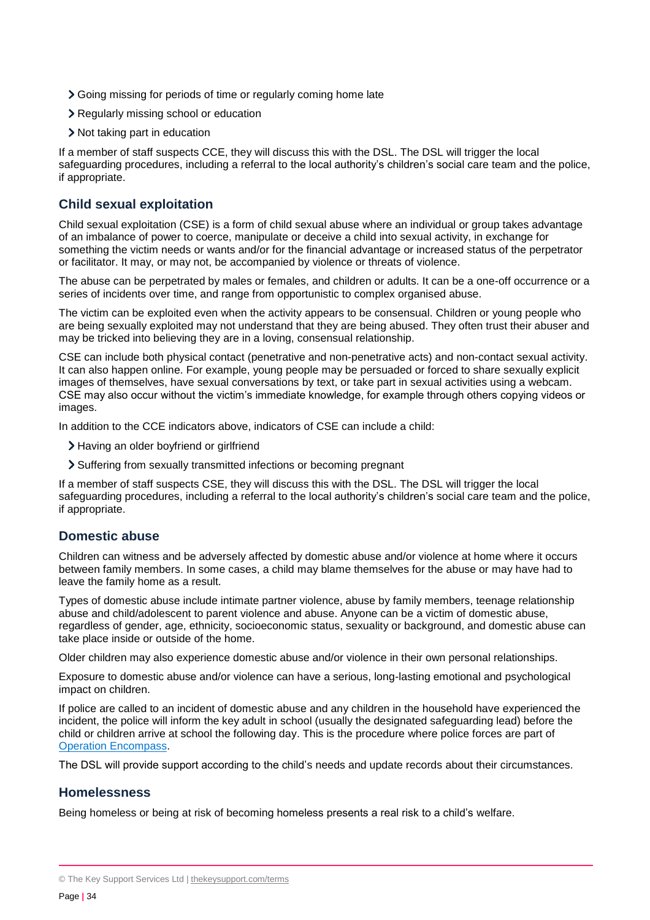- Going missing for periods of time or regularly coming home late
- Regularly missing school or education
- Not taking part in education

If a member of staff suspects CCE, they will discuss this with the DSL. The DSL will trigger the local safeguarding procedures, including a referral to the local authority's children's social care team and the police, if appropriate.

## **Child sexual exploitation**

Child sexual exploitation (CSE) is a form of child sexual abuse where an individual or group takes advantage of an imbalance of power to coerce, manipulate or deceive a child into sexual activity, in exchange for something the victim needs or wants and/or for the financial advantage or increased status of the perpetrator or facilitator. It may, or may not, be accompanied by violence or threats of violence.

The abuse can be perpetrated by males or females, and children or adults. It can be a one-off occurrence or a series of incidents over time, and range from opportunistic to complex organised abuse.

The victim can be exploited even when the activity appears to be consensual. Children or young people who are being sexually exploited may not understand that they are being abused. They often trust their abuser and may be tricked into believing they are in a loving, consensual relationship.

CSE can include both physical contact (penetrative and non-penetrative acts) and non-contact sexual activity. It can also happen online. For example, young people may be persuaded or forced to share sexually explicit images of themselves, have sexual conversations by text, or take part in sexual activities using a webcam. CSE may also occur without the victim's immediate knowledge, for example through others copying videos or images.

In addition to the CCE indicators above, indicators of CSE can include a child:

- > Having an older boyfriend or girlfriend
- Suffering from sexually transmitted infections or becoming pregnant

If a member of staff suspects CSE, they will discuss this with the DSL. The DSL will trigger the local safeguarding procedures, including a referral to the local authority's children's social care team and the police, if appropriate.

#### **Domestic abuse**

Children can witness and be adversely affected by domestic abuse and/or violence at home where it occurs between family members. In some cases, a child may blame themselves for the abuse or may have had to leave the family home as a result.

Types of domestic abuse include intimate partner violence, abuse by family members, teenage relationship abuse and child/adolescent to parent violence and abuse. Anyone can be a victim of domestic abuse, regardless of gender, age, ethnicity, socioeconomic status, sexuality or background, and domestic abuse can take place inside or outside of the home.

Older children may also experience domestic abuse and/or violence in their own personal relationships.

Exposure to domestic abuse and/or violence can have a serious, long-lasting emotional and psychological impact on children.

If police are called to an incident of domestic abuse and any children in the household have experienced the incident, the police will inform the key adult in school (usually the designated safeguarding lead) before the child or children arrive at school the following day. This is the procedure where police forces are part of Operation [Encompass.](https://www.operationencompass.org/)

The DSL will provide support according to the child's needs and update records about their circumstances.

#### **Homelessness**

Being homeless or being at risk of becoming homeless presents a real risk to a child's welfare.

<sup>©</sup> The Key Support Services Ltd | [thekeysupport.com/terms](https://thekeysupport.com/terms-of-use)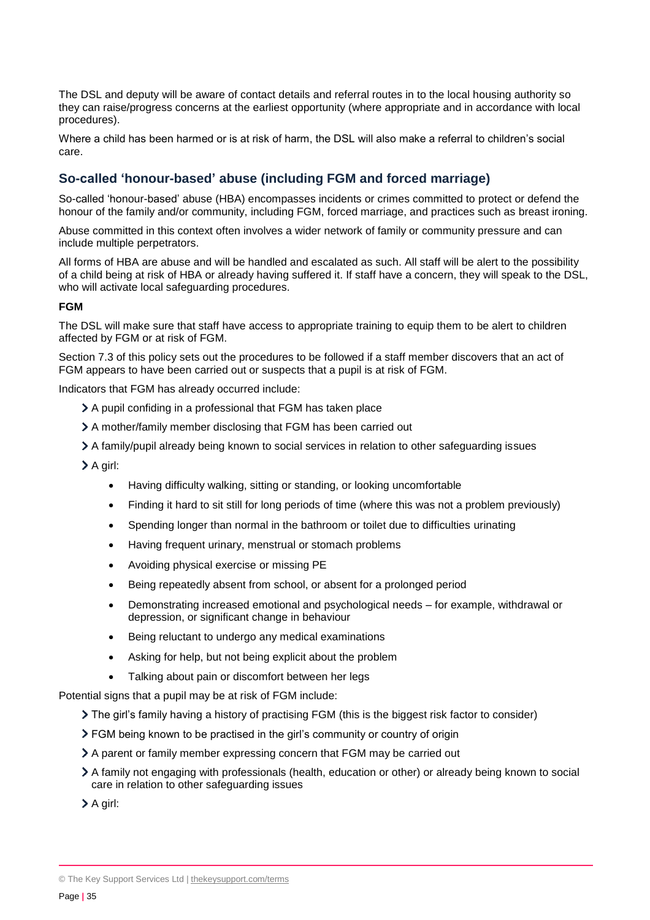The DSL and deputy will be aware of contact details and referral routes in to the local housing authority so they can raise/progress concerns at the earliest opportunity (where appropriate and in accordance with local procedures).

Where a child has been harmed or is at risk of harm, the DSL will also make a referral to children's social care.

#### **So-called 'honour-based' abuse (including FGM and forced marriage)**

So-called 'honour-based' abuse (HBA) encompasses incidents or crimes committed to protect or defend the honour of the family and/or community, including FGM, forced marriage, and practices such as breast ironing.

Abuse committed in this context often involves a wider network of family or community pressure and can include multiple perpetrators.

All forms of HBA are abuse and will be handled and escalated as such. All staff will be alert to the possibility of a child being at risk of HBA or already having suffered it. If staff have a concern, they will speak to the DSL, who will activate local safeguarding procedures.

#### **FGM**

The DSL will make sure that staff have access to appropriate training to equip them to be alert to children affected by FGM or at risk of FGM.

Section 7.3 of this policy sets out the procedures to be followed if a staff member discovers that an act of FGM appears to have been carried out or suspects that a pupil is at risk of FGM.

Indicators that FGM has already occurred include:

- A pupil confiding in a professional that FGM has taken place
- A mother/family member disclosing that FGM has been carried out
- A family/pupil already being known to social services in relation to other safeguarding issues

A girl:

- Having difficulty walking, sitting or standing, or looking uncomfortable
- Finding it hard to sit still for long periods of time (where this was not a problem previously)
- Spending longer than normal in the bathroom or toilet due to difficulties urinating
- Having frequent urinary, menstrual or stomach problems
- Avoiding physical exercise or missing PE
- Being repeatedly absent from school, or absent for a prolonged period
- Demonstrating increased emotional and psychological needs for example, withdrawal or depression, or significant change in behaviour
- Being reluctant to undergo any medical examinations
- Asking for help, but not being explicit about the problem
- Talking about pain or discomfort between her legs

Potential signs that a pupil may be at risk of FGM include:

The girl's family having a history of practising FGM (this is the biggest risk factor to consider)

- FGM being known to be practised in the girl's community or country of origin
- A parent or family member expressing concern that FGM may be carried out
- A family not engaging with professionals (health, education or other) or already being known to social care in relation to other safeguarding issues

A girl:

© The Key Support Services Ltd | [thekeysupport.com/terms](https://thekeysupport.com/terms-of-use)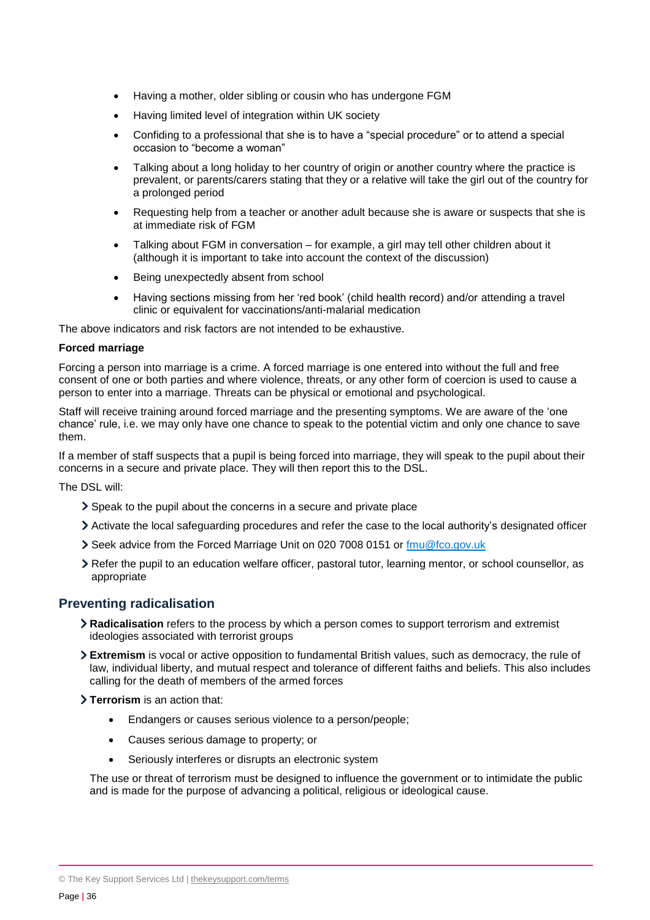- Having a mother, older sibling or cousin who has undergone FGM
- Having limited level of integration within UK society
- Confiding to a professional that she is to have a "special procedure" or to attend a special occasion to "become a woman"
- Talking about a long holiday to her country of origin or another country where the practice is prevalent, or parents/carers stating that they or a relative will take the girl out of the country for a prolonged period
- Requesting help from a teacher or another adult because she is aware or suspects that she is at immediate risk of FGM
- Talking about FGM in conversation for example, a girl may tell other children about it (although it is important to take into account the context of the discussion)
- Being unexpectedly absent from school
- Having sections missing from her 'red book' (child health record) and/or attending a travel clinic or equivalent for vaccinations/anti-malarial medication

The above indicators and risk factors are not intended to be exhaustive.

#### **Forced marriage**

Forcing a person into marriage is a crime. A forced marriage is one entered into without the full and free consent of one or both parties and where violence, threats, or any other form of coercion is used to cause a person to enter into a marriage. Threats can be physical or emotional and psychological.

Staff will receive training around forced marriage and the presenting symptoms. We are aware of the 'one chance' rule, i.e. we may only have one chance to speak to the potential victim and only one chance to save them.

If a member of staff suspects that a pupil is being forced into marriage, they will speak to the pupil about their concerns in a secure and private place. They will then report this to the DSL.

The DSL will:

- Speak to the pupil about the concerns in a secure and private place
- Activate the local safeguarding procedures and refer the case to the local authority's designated officer
- Seek advice from the Forced Marriage Unit on 020 7008 0151 or [fmu@fco.gov.uk](mailto:fmu@fco.gov.uk)
- Refer the pupil to an education welfare officer, pastoral tutor, learning mentor, or school counsellor, as appropriate

#### **Preventing radicalisation**

- **Radicalisation** refers to the process by which a person comes to support terrorism and extremist ideologies associated with terrorist groups
- **Extremism** is vocal or active opposition to fundamental British values, such as democracy, the rule of law, individual liberty, and mutual respect and tolerance of different faiths and beliefs. This also includes calling for the death of members of the armed forces

**Terrorism** is an action that:

- Endangers or causes serious violence to a person/people;
- Causes serious damage to property; or
- Seriously interferes or disrupts an electronic system

The use or threat of terrorism must be designed to influence the government or to intimidate the public and is made for the purpose of advancing a political, religious or ideological cause.

<sup>©</sup> The Key Support Services Ltd | [thekeysupport.com/terms](https://thekeysupport.com/terms-of-use)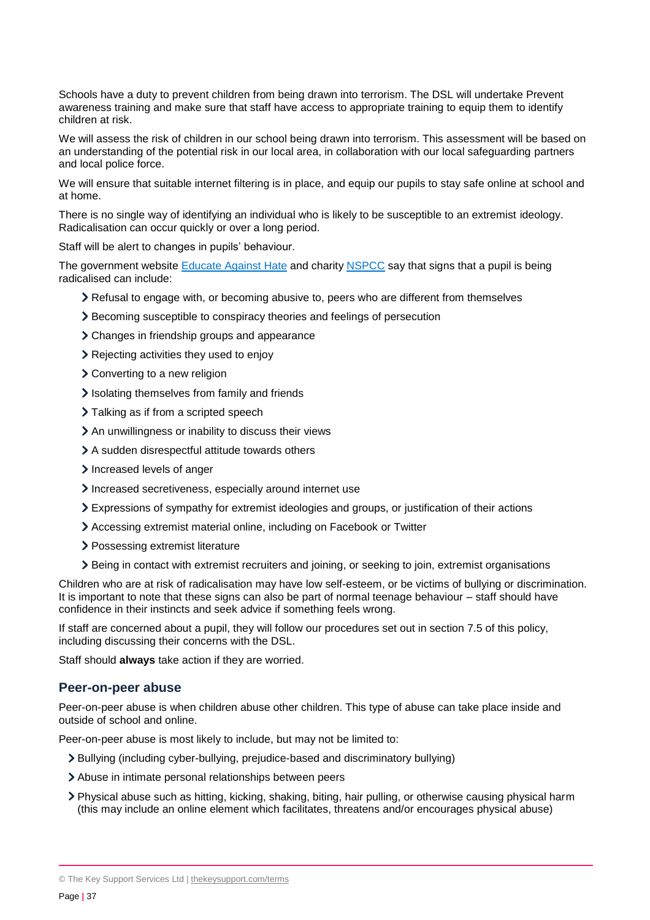Schools have a duty to prevent children from being drawn into terrorism. The DSL will undertake Prevent awareness training and make sure that staff have access to appropriate training to equip them to identify children at risk.

We will assess the risk of children in our school being drawn into terrorism. This assessment will be based on an understanding of the potential risk in our local area, in collaboration with our local safeguarding partners and local police force.

We will ensure that suitable internet filtering is in place, and equip our pupils to stay safe online at school and at home.

There is no single way of identifying an individual who is likely to be susceptible to an extremist ideology. Radicalisation can occur quickly or over a long period.

Staff will be alert to changes in pupils' behaviour.

The government website [Educate Against](http://educateagainsthate.com/parents/what-are-the-warning-signs/) Hate and charity [NSPCC](https://www.nspcc.org.uk/what-you-can-do/report-abuse/dedicated-helplines/protecting-children-from-radicalisation/) say that signs that a pupil is being radicalised can include:

- Refusal to engage with, or becoming abusive to, peers who are different from themselves
- Becoming susceptible to conspiracy theories and feelings of persecution
- > Changes in friendship groups and appearance
- Rejecting activities they used to enjoy
- Converting to a new religion
- Isolating themselves from family and friends
- > Talking as if from a scripted speech
- An unwillingness or inability to discuss their views
- A sudden disrespectful attitude towards others
- Increased levels of anger
- Increased secretiveness, especially around internet use
- Expressions of sympathy for extremist ideologies and groups, or justification of their actions
- Accessing extremist material online, including on Facebook or Twitter
- > Possessing extremist literature
- Being in contact with extremist recruiters and joining, or seeking to join, extremist organisations

Children who are at risk of radicalisation may have low self-esteem, or be victims of bullying or discrimination. It is important to note that these signs can also be part of normal teenage behaviour – staff should have confidence in their instincts and seek advice if something feels wrong.

If staff are concerned about a pupil, they will follow our procedures set out in section 7.5 of this policy, including discussing their concerns with the DSL.

Staff should **always** take action if they are worried.

#### **Peer-on-peer abuse**

Peer-on-peer abuse is when children abuse other children. This type of abuse can take place inside and outside of school and online.

Peer-on-peer abuse is most likely to include, but may not be limited to:

- Bullying (including cyber-bullying, prejudice-based and discriminatory bullying)
- Abuse in intimate personal relationships between peers
- Physical abuse such as hitting, kicking, shaking, biting, hair pulling, or otherwise causing physical harm (this may include an online element which facilitates, threatens and/or encourages physical abuse)

<sup>©</sup> The Key Support Services Ltd | [thekeysupport.com/terms](https://thekeysupport.com/terms-of-use)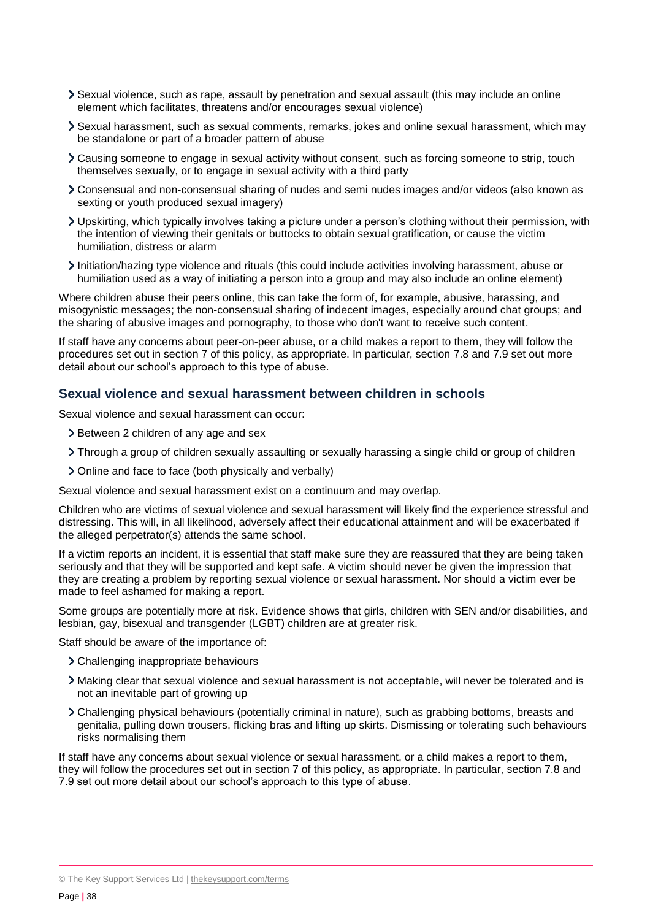- Sexual violence, such as rape, assault by penetration and sexual assault (this may include an online element which facilitates, threatens and/or encourages sexual violence)
- Sexual harassment, such as sexual comments, remarks, jokes and online sexual harassment, which may be standalone or part of a broader pattern of abuse
- Causing someone to engage in sexual activity without consent, such as forcing someone to strip, touch themselves sexually, or to engage in sexual activity with a third party
- Consensual and non-consensual sharing of nudes and semi nudes images and/or videos (also known as sexting or youth produced sexual imagery)
- Upskirting, which typically involves taking a picture under a person's clothing without their permission, with the intention of viewing their genitals or buttocks to obtain sexual gratification, or cause the victim humiliation, distress or alarm
- Initiation/hazing type violence and rituals (this could include activities involving harassment, abuse or humiliation used as a way of initiating a person into a group and may also include an online element)

Where children abuse their peers online, this can take the form of, for example, abusive, harassing, and misogynistic messages; the non-consensual sharing of indecent images, especially around chat groups; and the sharing of abusive images and pornography, to those who don't want to receive such content.

If staff have any concerns about peer-on-peer abuse, or a child makes a report to them, they will follow the procedures set out in section 7 of this policy, as appropriate. In particular, section 7.8 and 7.9 set out more detail about our school's approach to this type of abuse.

#### **Sexual violence and sexual harassment between children in schools**

Sexual violence and sexual harassment can occur:

- Subsequent 2 children of any age and sex
- Through a group of children sexually assaulting or sexually harassing a single child or group of children
- Online and face to face (both physically and verbally)

Sexual violence and sexual harassment exist on a continuum and may overlap.

Children who are victims of sexual violence and sexual harassment will likely find the experience stressful and distressing. This will, in all likelihood, adversely affect their educational attainment and will be exacerbated if the alleged perpetrator(s) attends the same school.

If a victim reports an incident, it is essential that staff make sure they are reassured that they are being taken seriously and that they will be supported and kept safe. A victim should never be given the impression that they are creating a problem by reporting sexual violence or sexual harassment. Nor should a victim ever be made to feel ashamed for making a report.

Some groups are potentially more at risk. Evidence shows that girls, children with SEN and/or disabilities, and lesbian, gay, bisexual and transgender (LGBT) children are at greater risk.

Staff should be aware of the importance of:

- Challenging inappropriate behaviours
- Making clear that sexual violence and sexual harassment is not acceptable, will never be tolerated and is not an inevitable part of growing up
- Challenging physical behaviours (potentially criminal in nature), such as grabbing bottoms, breasts and genitalia, pulling down trousers, flicking bras and lifting up skirts. Dismissing or tolerating such behaviours risks normalising them

If staff have any concerns about sexual violence or sexual harassment, or a child makes a report to them, they will follow the procedures set out in section 7 of this policy, as appropriate. In particular, section 7.8 and 7.9 set out more detail about our school's approach to this type of abuse.

<sup>©</sup> The Key Support Services Ltd | [thekeysupport.com/terms](https://thekeysupport.com/terms-of-use)